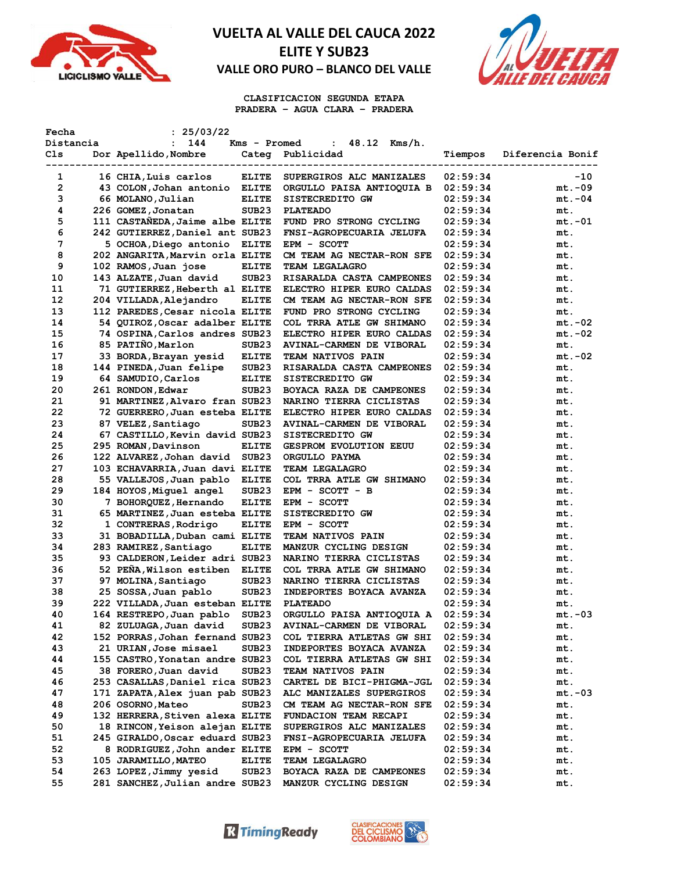



**CLASIFICACION SEGUNDA ETAPA PRADERA – AGUA CLARA – PRADERA**

| Fecha     | : 25/03/22                      |                                   |                                 |          |                  |
|-----------|---------------------------------|-----------------------------------|---------------------------------|----------|------------------|
| Distancia | 144<br>$\ddot{\phantom{a}}$     | Kms - Promed                      | 48.12<br>Kms/h.<br>$\mathbf{L}$ |          |                  |
| Cls       | Dor Apellido, Nombre            | Categ                             | Publicidad                      | Tiempos  | Diferencia Bonif |
|           |                                 |                                   |                                 |          |                  |
| 1         | 16 CHIA, Luis carlos            | <b>ELITE</b>                      | SUPERGIROS ALC MANIZALES        | 02:59:34 | -10              |
| 2         | 43 COLON, Johan antonio         | <b>ELITE</b>                      | ORGULLO PAISA ANTIOQUIA B       | 02:59:34 | $mt.-09$         |
| 3         | 66 MOLANO, Julian               | <b>ELITE</b>                      | SISTECREDITO GW                 | 02:59:34 | $mt.-04$         |
| 4         | 226 GOMEZ, Jonatan              | SUB <sub>23</sub>                 | <b>PLATEADO</b>                 | 02:59:34 | mt.              |
| 5         | 111 CASTANEDA, Jaime albe ELITE |                                   | FUND PRO STRONG CYCLING         | 02:59:34 | $mt.-01$         |
| 6         | 242 GUTIERREZ, Daniel ant SUB23 |                                   | FNSI-AGROPECUARIA JELUFA        | 02:59:34 | mt.              |
| 7         | 5 OCHOA, Diego antonio          | <b>ELITE</b>                      | EPM - SCOTT                     | 02:59:34 | mt.              |
| 8         | 202 ANGARITA, Marvin orla ELITE |                                   | CM TEAM AG NECTAR-RON SFE       | 02:59:34 | mt.              |
| 9         | 102 RAMOS, Juan jose            | <b>ELITE</b>                      | <b>TEAM LEGALAGRO</b>           | 02:59:34 | mt.              |
| 10        | 143 ALZATE, Juan david          | SUB <sub>23</sub>                 | RISARALDA CASTA CAMPEONES       | 02:59:34 | mt.              |
| 11        | 71 GUTIERREZ, Heberth al ELITE  |                                   | ELECTRO HIPER EURO CALDAS       | 02:59:34 | mt.              |
|           |                                 |                                   |                                 |          |                  |
| 12        | 204 VILLADA, Alejandro          | <b>ELITE</b>                      | CM TEAM AG NECTAR-RON SFE       | 02:59:34 | mt.              |
| 13        | 112 PAREDES, Cesar nicola ELITE |                                   | FUND PRO STRONG CYCLING         | 02:59:34 | mt.              |
| 14        | 54 QUIROZ, Oscar adalber ELITE  |                                   | COL TRRA ATLE GW SHIMANO        | 02:59:34 | mt.-02           |
| 15        | 74 OSPINA, Carlos andres SUB23  |                                   | ELECTRO HIPER EURO CALDAS       | 02:59:34 | mt.-02           |
| 16        | 85 PATIÑO, Marlon               | SUB <sub>23</sub>                 | AVINAL-CARMEN DE VIBORAL        | 02:59:34 | mt.              |
| 17        | 33 BORDA, Brayan yesid          | <b>ELITE</b>                      | TEAM NATIVOS PAIN               | 02:59:34 | $mt.-02$         |
| 18        | 144 PINEDA, Juan felipe         | SUB <sub>23</sub>                 | RISARALDA CASTA CAMPEONES       | 02:59:34 | mt.              |
| 19        | 64 SAMUDIO, Carlos              | <b>ELITE</b>                      | SISTECREDITO GW                 | 02:59:34 | mt.              |
| 20        | 261 RONDON, Edwar               | SUB <sub>23</sub>                 | BOYACA RAZA DE CAMPEONES        | 02:59:34 | mt.              |
| 21        | 91 MARTINEZ, Alvaro fran SUB23  |                                   | NARINO TIERRA CICLISTAS         | 02:59:34 | mt.              |
| 22        | 72 GUERRERO, Juan esteba ELITE  |                                   | ELECTRO HIPER EURO CALDAS       | 02:59:34 | mt.              |
| 23        | 87 VELEZ, Santiago              | SUB <sub>23</sub>                 | AVINAL-CARMEN DE VIBORAL        | 02:59:34 | mt.              |
| 24        | 67 CASTILLO, Kevin david SUB23  |                                   | SISTECREDITO GW                 | 02:59:34 | mt.              |
| 25        | 295 ROMAN, Davinson             | <b>ELITE</b>                      | <b>GESPROM EVOLUTION EEUU</b>   | 02:59:34 | mt.              |
| 26        | 122 ALVAREZ, Johan david        | SUB <sub>23</sub>                 | ORGULLO PAYMA                   | 02:59:34 | mt.              |
| 27        | 103 ECHAVARRIA, Juan davi ELITE |                                   | TEAM LEGALAGRO                  | 02:59:34 | mt.              |
| 28        | 55 VALLEJOS, Juan pablo         | <b>ELITE</b>                      | COL TRRA ATLE GW SHIMANO        | 02:59:34 | mt.              |
| 29        | 184 HOYOS, Miquel angel         | SUB23                             | $EPM - SCOTT - B$               | 02:59:34 | mt.              |
| 30        | 7 BOHORQUEZ, Hernando           | <b>ELITE</b>                      | EPM - SCOTT                     | 02:59:34 | mt.              |
| 31        | 65 MARTINEZ, Juan esteba ELITE  |                                   | SISTECREDITO GW                 | 02:59:34 | mt.              |
| 32        | 1 CONTRERAS, Rodrigo            | <b>ELITE</b>                      | EPM - SCOTT                     | 02:59:34 | mt.              |
| 33        | 31 BOBADILLA, Duban cami ELITE  |                                   | TEAM NATIVOS PAIN               | 02:59:34 | mt.              |
| 34        | 283 RAMIREZ, Santiago           | <b>ELITE</b>                      | MANZUR CYCLING DESIGN           | 02:59:34 | mt.              |
| 35        | 93 CALDERON, Leider adri SUB23  |                                   | NARINO TIERRA CICLISTAS         | 02:59:34 | mt.              |
| 36        | 52 PEÑA, Wilson estiben         |                                   | COL TRRA ATLE GW SHIMANO        | 02:59:34 |                  |
| 37        | 97 MOLINA, Santiago             | <b>ELITE</b><br>SUB <sub>23</sub> | NARINO TIERRA CICLISTAS         |          | mt.              |
|           |                                 |                                   |                                 | 02:59:34 | mt.              |
| 38        | 25 SOSSA, Juan pablo            | SUB23                             | INDEPORTES BOYACA AVANZA        | 02:59:34 | mt.              |
| 39        | 222 VILLADA, Juan esteban ELITE |                                   | <b>PLATEADO</b>                 | 02:59:34 | mt.              |
| 40        | 164 RESTREPO, Juan pablo        | SUB <sub>23</sub>                 | ORGULLO PAISA ANTIOQUIA A       | 02:59:34 | $mt.-03$         |
| 41        | 82 ZULUAGA, Juan david          | SUB23                             | <b>AVINAL-CARMEN DE VIBORAL</b> | 02:59:34 | mt.              |
| 42        | 152 PORRAS, Johan fernand SUB23 |                                   | COL TIERRA ATLETAS GW SHI       | 02:59:34 | mt.              |
| 43        | 21 URIAN, Jose misael           | SUB <sub>23</sub>                 | INDEPORTES BOYACA AVANZA        | 02:59:34 | mt.              |
| 44        | 155 CASTRO, Yonatan andre SUB23 |                                   | COL TIERRA ATLETAS GW SHI       | 02:59:34 | mt.              |
| 45        | 38 FORERO, Juan david           | SUB <sub>23</sub>                 | TEAM NATIVOS PAIN               | 02:59:34 | mt.              |
| 46        | 253 CASALLAS, Daniel rica SUB23 |                                   | CARTEL DE BICI-PHIGMA-JGL       | 02:59:34 | mt.              |
| 47        | 171 ZAPATA,Alex juan pab SUB23  |                                   | ALC MANIZALES SUPERGIROS        | 02:59:34 | $mt.-03$         |
| 48        | 206 OSORNO, Mateo               | SUB <sub>23</sub>                 | CM TEAM AG NECTAR-RON SFE       | 02:59:34 | mt.              |
| 49        | 132 HERRERA, Stiven alexa ELITE |                                   | FUNDACION TEAM RECAPI           | 02:59:34 | mt.              |
| 50        | 18 RINCON, Yeison alejan ELITE  |                                   | SUPERGIROS ALC MANIZALES        | 02:59:34 | mt.              |
| 51        | 245 GIRALDO, Oscar eduard SUB23 |                                   | FNSI-AGROPECUARIA JELUFA        | 02:59:34 | mt.              |
| 52        | 8 RODRIGUEZ, John ander ELITE   |                                   | EPM - SCOTT                     | 02:59:34 | mt.              |
| 53        | 105 JARAMILLO, MATEO            | <b>ELITE</b>                      | TEAM LEGALAGRO                  | 02:59:34 | mt.              |
| 54        | 263 LOPEZ, Jimmy yesid          | SUB <sub>23</sub>                 | BOYACA RAZA DE CAMPEONES        | 02:59:34 | mt.              |
| 55        | 281 SANCHEZ, Julian andre SUB23 |                                   | MANZUR CYCLING DESIGN           | 02:59:34 | mt.              |

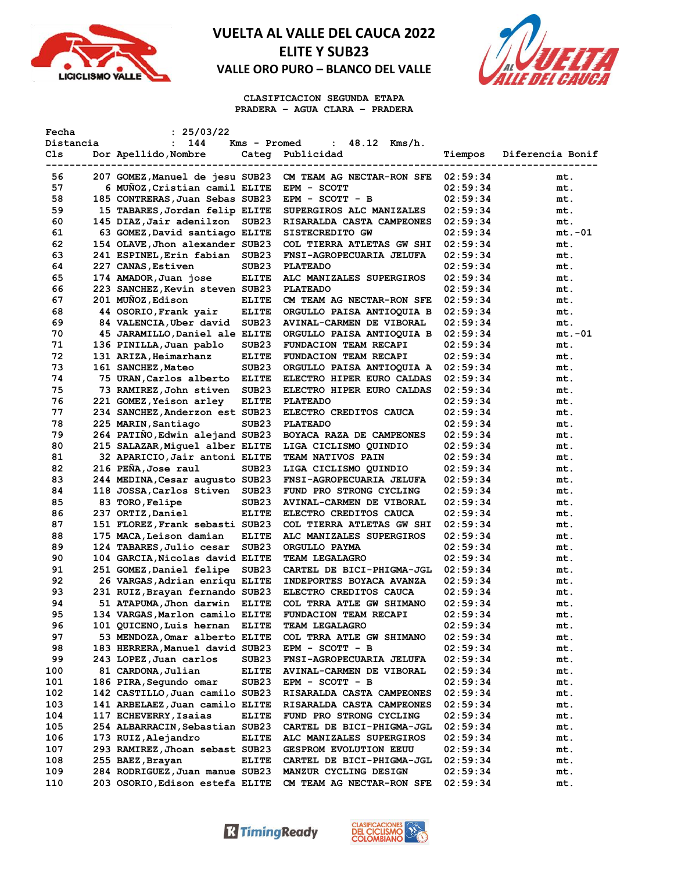



**CLASIFICACION SEGUNDA ETAPA PRADERA – AGUA CLARA – PRADERA**

| Fecha       | : 25/03/22                      |                   |                               |          |                  |
|-------------|---------------------------------|-------------------|-------------------------------|----------|------------------|
| Distancia   | 144<br>$\ddot{\phantom{a}}$     | Kms - Promed      | 48.12 Kms/h.<br>$\mathbf{r}$  |          |                  |
| Cls         | Dor Apellido, Nombre            | Categ             | Publicidad                    | Tiempos  | Diferencia Bonif |
| ----------- |                                 |                   | ----------                    |          |                  |
| 56          | 207 GOMEZ, Manuel de jesu SUB23 |                   | CM TEAM AG NECTAR-RON SFE     | 02:59:34 | mt.              |
| 57          | 6 MUNOZ, Cristian camil ELITE   |                   | EPM - SCOTT                   | 02:59:34 | mt.              |
| 58          | 185 CONTRERAS, Juan Sebas SUB23 |                   | $EPM - SCOTT - B$             | 02:59:34 | mt.              |
| 59          | 15 TABARES, Jordan felip ELITE  |                   | SUPERGIROS ALC MANIZALES      | 02:59:34 | mt.              |
| 60          | 145 DIAZ, Jair adenilzon SUB23  |                   | RISARALDA CASTA CAMPEONES     | 02:59:34 | mt.              |
| 61          | 63 GOMEZ, David santiago ELITE  |                   | SISTECREDITO GW               | 02:59:34 | mt.-01           |
| 62          | 154 OLAVE, Jhon alexander SUB23 |                   | COL TIERRA ATLETAS GW SHI     | 02:59:34 | mt.              |
| 63          | 241 ESPINEL, Erin fabian        | SUB <sub>23</sub> | FNSI-AGROPECUARIA JELUFA      | 02:59:34 | mt.              |
| 64          | 227 CANAS, Estiven              | SUB <sub>23</sub> | <b>PLATEADO</b>               | 02:59:34 | mt.              |
| 65          | 174 AMADOR, Juan jose           | <b>ELITE</b>      | ALC MANIZALES SUPERGIROS      | 02:59:34 | mt.              |
| 66          | 223 SANCHEZ, Kevin steven SUB23 |                   | <b>PLATEADO</b>               | 02:59:34 | mt.              |
| 67          | 201 MUÑOZ, Edison               | <b>ELITE</b>      | CM TEAM AG NECTAR-RON SFE     | 02:59:34 |                  |
| 68          | 44 OSORIO, Frank yair           |                   |                               |          | mt.              |
|             |                                 | <b>ELITE</b>      | ORGULLO PAISA ANTIOQUIA B     | 02:59:34 | mt.              |
| 69          | 84 VALENCIA, Uber david         | SUB <sub>23</sub> | AVINAL-CARMEN DE VIBORAL      | 02:59:34 | mt.              |
| 70          | 45 JARAMILLO, Daniel ale ELITE  |                   | ORGULLO PAISA ANTIOQUIA B     | 02:59:34 | mt.-01           |
| 71          | 136 PINILLA, Juan pablo         | SUB23             | FUNDACION TEAM RECAPI         | 02:59:34 | mt.              |
| 72          | 131 ARIZA, Heimarhanz           | <b>ELITE</b>      | FUNDACION TEAM RECAPI         | 02:59:34 | mt.              |
| 73          | 161 SANCHEZ, Mateo              | SUB <sub>23</sub> | ORGULLO PAISA ANTIOQUIA A     | 02:59:34 | mt.              |
| 74          | 75 URAN, Carlos alberto         | <b>ELITE</b>      | ELECTRO HIPER EURO CALDAS     | 02:59:34 | mt.              |
| 75          | 73 RAMIREZ, John stiven         | SUB <sub>23</sub> | ELECTRO HIPER EURO CALDAS     | 02:59:34 | mt.              |
| 76          | 221 GOMEZ, Yeison arley         | <b>ELITE</b>      | <b>PLATEADO</b>               | 02:59:34 | mt.              |
| 77          | 234 SANCHEZ, Anderzon est SUB23 |                   | ELECTRO CREDITOS CAUCA        | 02:59:34 | mt.              |
| 78          | 225 MARIN, Santiago             | SUB <sub>23</sub> | <b>PLATEADO</b>               | 02:59:34 | mt.              |
| 79          | 264 PATIÑO, Edwin alejand SUB23 |                   | BOYACA RAZA DE CAMPEONES      | 02:59:34 | mt.              |
| 80          | 215 SALAZAR, Miquel alber ELITE |                   | LIGA CICLISMO QUINDIO         | 02:59:34 | mt.              |
| 81          | 32 APARICIO, Jair antoni ELITE  |                   | <b>TEAM NATIVOS PAIN</b>      | 02:59:34 | mt.              |
| 82          | 216 PENA, Jose raul             | SUB <sub>23</sub> | LIGA CICLISMO QUINDIO         | 02:59:34 | mt.              |
| 83          | 244 MEDINA, Cesar augusto SUB23 |                   | FNSI-AGROPECUARIA JELUFA      | 02:59:34 | mt.              |
| 84          | 118 JOSSA, Carlos Stiven SUB23  |                   | FUND PRO STRONG CYCLING       | 02:59:34 | mt.              |
| 85          | 83 TORO, Felipe                 | SUB <sub>23</sub> | AVINAL-CARMEN DE VIBORAL      | 02:59:34 | mt.              |
| 86          | 237 ORTIZ, Daniel               | <b>ELITE</b>      | ELECTRO CREDITOS CAUCA        | 02:59:34 | mt.              |
| 87          | 151 FLOREZ, Frank sebasti SUB23 |                   | COL TIERRA ATLETAS GW SHI     | 02:59:34 | mt.              |
| 88          | 175 MACA, Leison damian         | <b>ELITE</b>      | ALC MANIZALES SUPERGIROS      | 02:59:34 | mt.              |
| 89          | 124 TABARES, Julio cesar        | SUB <sub>23</sub> | ORGULLO PAYMA                 | 02:59:34 | mt.              |
| 90          | 104 GARCIA, Nicolas david ELITE |                   | TEAM LEGALAGRO                | 02:59:34 | mt.              |
| 91          | 251 GOMEZ, Daniel felipe        | SUB <sub>23</sub> | CARTEL DE BICI-PHIGMA-JGL     | 02:59:34 | mt.              |
| 92          | 26 VARGAS, Adrian enriqu ELITE  |                   | INDEPORTES BOYACA AVANZA      | 02:59:34 | mt.              |
| 93          | 231 RUIZ, Brayan fernando SUB23 |                   | ELECTRO CREDITOS CAUCA        | 02:59:34 | mt.              |
| 94          | 51 ATAPUMA, Jhon darwin ELITE   |                   | COL TRRA ATLE GW SHIMANO      | 02:59:34 | mt.              |
| 95          | 134 VARGAS, Marlon camilo ELITE |                   | <b>FUNDACION TEAM RECAPI</b>  | 02:59:34 | mt.              |
| 96          | 101 QUICENO, Luis hernan        | <b>ELITE</b>      | <b>TEAM LEGALAGRO</b>         | 02:59:34 | mt.              |
| 97          | 53 MENDOZA, Omar alberto ELITE  |                   |                               |          |                  |
| 98          |                                 |                   | COL TRRA ATLE GW SHIMANO      | 02:59:34 | mt.              |
|             | 183 HERRERA, Manuel david SUB23 |                   | $EPM - SCOTT - B$             | 02:59:34 | mt.              |
| 99          | 243 LOPEZ, Juan carlos          | SUB <sub>23</sub> | FNSI-AGROPECUARIA JELUFA      | 02:59:34 | mt.              |
| 100         | 81 CARDONA, Julian              | <b>ELITE</b>      | AVINAL-CARMEN DE VIBORAL      | 02:59:34 | mt.              |
| 101         | 186 PIRA, Segundo omar          | SUB <sub>23</sub> | EPM - SCOTT - B               | 02:59:34 | mt.              |
| 102         | 142 CASTILLO, Juan camilo SUB23 |                   | RISARALDA CASTA CAMPEONES     | 02:59:34 | mt.              |
| 103         | 141 ARBELAEZ, Juan camilo ELITE |                   | RISARALDA CASTA CAMPEONES     | 02:59:34 | mt.              |
| 104         | 117 ECHEVERRY, Isaias           | <b>ELITE</b>      | FUND PRO STRONG CYCLING       | 02:59:34 | mt.              |
| 105         | 254 ALBARRACIN, Sebastian SUB23 |                   | CARTEL DE BICI-PHIGMA-JGL     | 02:59:34 | mt.              |
| 106         | 173 RUIZ,Alejandro              | <b>ELITE</b>      | ALC MANIZALES SUPERGIROS      | 02:59:34 | mt.              |
| 107         | 293 RAMIREZ, Jhoan sebast SUB23 |                   | <b>GESPROM EVOLUTION EEUU</b> | 02:59:34 | mt.              |
| 108         | 255 BAEZ, Brayan                | <b>ELITE</b>      | CARTEL DE BICI-PHIGMA-JGL     | 02:59:34 | mt.              |
| 109         | 284 RODRIGUEZ, Juan manue SUB23 |                   | MANZUR CYCLING DESIGN         | 02:59:34 | mt.              |
| 110         | 203 OSORIO,Edison estefa ELITE  |                   | CM TEAM AG NECTAR-RON SFE     | 02:59:34 | mt.              |

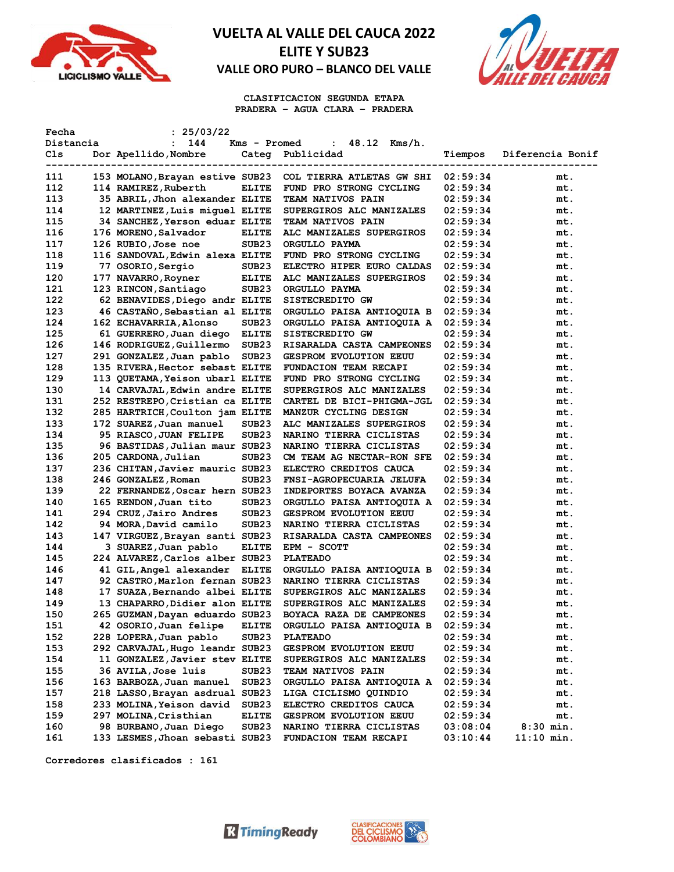



**CLASIFICACION SEGUNDA ETAPA PRADERA – AGUA CLARA – PRADERA**

| Fecha      | : 25/03/22                      |                   |                                 |          |                  |
|------------|---------------------------------|-------------------|---------------------------------|----------|------------------|
| Distancia  | 144<br>$\mathbf{L}$             | Kms - Promed      | 48.12<br>Kms/h.<br>$\mathbf{L}$ |          |                  |
| Cls        | Dor Apellido, Nombre            | Categ             | Publicidad                      | Tiempos  | Diferencia Bonif |
| ---------- |                                 | --------          |                                 |          |                  |
| 111        | 153 MOLANO, Brayan estive SUB23 |                   | COL TIERRA ATLETAS GW SHI       | 02:59:34 | mt.              |
| 112        | 114 RAMIREZ, Ruberth            | <b>ELITE</b>      | FUND PRO STRONG CYCLING         | 02:59:34 | mt.              |
| 113        | 35 ABRIL, Jhon alexander ELITE  |                   | TEAM NATIVOS PAIN               | 02:59:34 | mt.              |
| 114        | 12 MARTINEZ, Luis miquel ELITE  |                   | SUPERGIROS ALC MANIZALES        | 02:59:34 | mt.              |
| 115        | 34 SANCHEZ, Yerson eduar ELITE  |                   | TEAM NATIVOS PAIN               | 02:59:34 | mt.              |
| 116        | 176 MORENO, Salvador            | <b>ELITE</b>      | ALC MANIZALES SUPERGIROS        | 02:59:34 | mt.              |
| 117        | 126 RUBIO, Jose noe             | SUB <sub>23</sub> | ORGULLO PAYMA                   | 02:59:34 | mt.              |
| 118        | 116 SANDOVAL, Edwin alexa ELITE |                   | FUND PRO STRONG CYCLING         | 02:59:34 | mt.              |
| 119        | 77 OSORIO, Sergio               | SUB <sub>23</sub> | ELECTRO HIPER EURO CALDAS       | 02:59:34 | mt.              |
| 120        | 177 NAVARRO, Royner             | <b>ELITE</b>      | ALC MANIZALES SUPERGIROS        | 02:59:34 | mt.              |
| 121        | 123 RINCON, Santiago            | SUB <sub>23</sub> | ORGULLO PAYMA                   | 02:59:34 | mt.              |
| 122        | 62 BENAVIDES, Diego andr ELITE  |                   | SISTECREDITO GW                 | 02:59:34 | mt.              |
| 123        | 46 CASTAÑO, Sebastian al ELITE  |                   | ORGULLO PAISA ANTIOQUIA B       | 02:59:34 | mt.              |
| 124        | 162 ECHAVARRIA, Alonso          | SUB <sub>23</sub> | ORGULLO PAISA ANTIOQUIA A       | 02:59:34 | mt.              |
| 125        | 61 GUERRERO, Juan diego         | <b>ELITE</b>      | SISTECREDITO GW                 | 02:59:34 | mt.              |
| 126        | 146 RODRIGUEZ, Guillermo        | SUB <sub>23</sub> | RISARALDA CASTA CAMPEONES       | 02:59:34 | mt.              |
|            |                                 |                   |                                 |          |                  |
| 127        | 291 GONZALEZ, Juan pablo        | SUB <sub>23</sub> | <b>GESPROM EVOLUTION EEUU</b>   | 02:59:34 | mt.              |
| 128        | 135 RIVERA, Hector sebast ELITE |                   | FUNDACION TEAM RECAPI           | 02:59:34 | mt.              |
| 129        | 113 QUETAMA, Yeison ubarl ELITE |                   | FUND PRO STRONG CYCLING         | 02:59:34 | mt.              |
| 130        | 14 CARVAJAL, Edwin andre ELITE  |                   | SUPERGIROS ALC MANIZALES        | 02:59:34 | mt.              |
| 131        | 252 RESTREPO, Cristian ca ELITE |                   | CARTEL DE BICI-PHIGMA-JGL       | 02:59:34 | mt.              |
| 132        | 285 HARTRICH, Coulton jam ELITE |                   | MANZUR CYCLING DESIGN           | 02:59:34 | mt.              |
| 133        | 172 SUAREZ, Juan manuel         | SUB23             | ALC MANIZALES SUPERGIROS        | 02:59:34 | mt.              |
| 134        | 95 RIASCO, JUAN FELIPE          | SUB <sub>23</sub> | NARINO TIERRA CICLISTAS         | 02:59:34 | mt.              |
| 135        | 96 BASTIDAS, Julian maur SUB23  |                   | NARINO TIERRA CICLISTAS         | 02:59:34 | mt.              |
| 136        | 205 CARDONA, Julian             | SUB23             | CM TEAM AG NECTAR-RON SFE       | 02:59:34 | mt.              |
| 137        | 236 CHITAN, Javier mauric SUB23 |                   | ELECTRO CREDITOS CAUCA          | 02:59:34 | mt.              |
| 138        | 246 GONZALEZ, Roman             | SUB23             | FNSI-AGROPECUARIA JELUFA        | 02:59:34 | mt.              |
| 139        | 22 FERNANDEZ, Oscar hern SUB23  |                   | INDEPORTES BOYACA AVANZA        | 02:59:34 | mt.              |
| 140        | 165 RENDON, Juan tito           | SUB23             | ORGULLO PAISA ANTIOQUIA A       | 02:59:34 | mt.              |
| 141        | 294 CRUZ,Jairo Andres           | SUB <sub>23</sub> | <b>GESPROM EVOLUTION EEUU</b>   | 02:59:34 | mt.              |
| 142        | 94 MORA, David camilo           | SUB <sub>23</sub> | <b>NARINO TIERRA CICLISTAS</b>  | 02:59:34 | mt.              |
| 143        | 147 VIRGUEZ, Brayan santi SUB23 |                   | RISARALDA CASTA CAMPEONES       | 02:59:34 | mt.              |
| 144        | 3 SUAREZ, Juan pablo            | ELITE             | EPM - SCOTT                     | 02:59:34 | mt.              |
| 145        | 224 ALVAREZ, Carlos alber SUB23 |                   | <b>PLATEADO</b>                 | 02:59:34 | mt.              |
| 146        | 41 GIL, Angel alexander         | <b>ELITE</b>      | ORGULLO PAISA ANTIOQUIA B       | 02:59:34 | mt.              |
| 147        | 92 CASTRO, Marlon fernan SUB23  |                   | <b>NARINO TIERRA CICLISTAS</b>  | 02:59:34 | mt.              |
| 148        | 17 SUAZA, Bernando albei ELITE  |                   | SUPERGIROS ALC MANIZALES        | 02:59:34 | mt.              |
| 149        | 13 CHAPARRO, Didier alon ELITE  |                   | SUPERGIROS ALC MANIZALES        | 02:59:34 | mt.              |
| 150        | 265 GUZMAN, Dayan eduardo SUB23 |                   | BOYACA RAZA DE CAMPEONES        | 02:59:34 | mt.              |
| 151        | 42 OSORIO, Juan felipe          | <b>ELITE</b>      | ORGULLO PAISA ANTIOQUIA B       | 02:59:34 | mt.              |
| 152        | 228 LOPERA, Juan pablo          | SUB <sub>23</sub> | <b>PLATEADO</b>                 | 02:59:34 | mt.              |
| 153        | 292 CARVAJAL, Hugo leandr SUB23 |                   | <b>GESPROM EVOLUTION EEUU</b>   | 02:59:34 | mt.              |
| 154        | 11 GONZALEZ, Javier stev ELITE  |                   | SUPERGIROS ALC MANIZALES        | 02:59:34 | mt.              |
| 155        | 36 AVILA, Jose luis             | SUB <sub>23</sub> | TEAM NATIVOS PAIN               | 02:59:34 |                  |
| 156        | 163 BARBOZA, Juan manuel        | SUB <sub>23</sub> |                                 | 02:59:34 | mt.<br>mt.       |
|            | 218 LASSO, Brayan asdrual SUB23 |                   | ORGULLO PAISA ANTIOQUIA A       |          |                  |
| 157        |                                 |                   | LIGA CICLISMO QUINDIO           | 02:59:34 | mt.              |
| 158        | 233 MOLINA, Yeison david        | SUB <sub>23</sub> | ELECTRO CREDITOS CAUCA          | 02:59:34 | mt.              |
| 159        | 297 MOLINA, Cristhian           | <b>ELITE</b>      | GESPROM EVOLUTION EEUU          | 02:59:34 | mt.              |
| 160        | 98 BURBANO, Juan Diego          | SUB23             | NARINO TIERRA CICLISTAS         | 03:08:04 | $8:30$ min.      |
| 161        | 133 LESMES, Jhoan sebasti SUB23 |                   | FUNDACION TEAM RECAPI           | 03:10:44 | $11:10$ min.     |

**Corredores clasificados : 161**



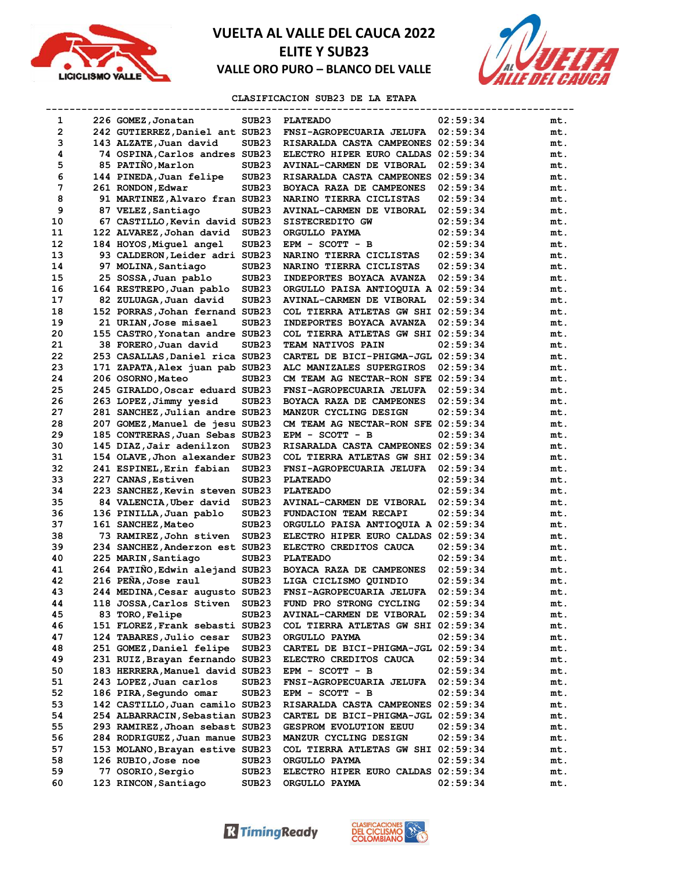



### **CLASIFICACION SUB23 DE LA ETAPA**

| 1              | 226 GOMEZ, Jonatan              | SUB <sub>23</sub> | <b>PLATEADO</b>                    | 02:59:34 | mt. |
|----------------|---------------------------------|-------------------|------------------------------------|----------|-----|
| $\overline{2}$ | 242 GUTIERREZ, Daniel ant SUB23 |                   | FNSI-AGROPECUARIA JELUFA           | 02:59:34 | mt. |
| 3              | 143 ALZATE, Juan david          | SUB <sub>23</sub> | RISARALDA CASTA CAMPEONES 02:59:34 |          | mt. |
| 4              | 74 OSPINA, Carlos andres SUB23  |                   | ELECTRO HIPER EURO CALDAS 02:59:34 |          | mt. |
| 5              | 85 PATIÑO, Marlon               | SUB <sub>23</sub> | AVINAL-CARMEN DE VIBORAL           | 02:59:34 | mt. |
| 6              | 144 PINEDA, Juan felipe         | SUB <sub>23</sub> | RISARALDA CASTA CAMPEONES          | 02:59:34 | mt. |
| 7              | 261 RONDON, Edwar               | SUB <sub>23</sub> | BOYACA RAZA DE CAMPEONES           | 02:59:34 | mt. |
| 8              | 91 MARTINEZ, Alvaro fran SUB23  |                   | NARINO TIERRA CICLISTAS            | 02:59:34 | mt. |
| 9              | 87 VELEZ, Santiago              | SUB <sub>23</sub> | AVINAL-CARMEN DE VIBORAL           | 02:59:34 | mt. |
| 10             | 67 CASTILLO, Kevin david SUB23  |                   | SISTECREDITO GW                    | 02:59:34 | mt. |
| 11             | 122 ALVAREZ, Johan david        | SUB <sub>23</sub> | ORGULLO PAYMA                      | 02:59:34 | mt. |
| 12             | 184 HOYOS,Miguel angel          | SUB <sub>23</sub> | $EPM - SCOTT - B$                  | 02:59:34 | mt. |
| 13             | 93 CALDERON, Leider adri SUB23  |                   | NARINO TIERRA CICLISTAS            | 02:59:34 | mt. |
| 14             | 97 MOLINA, Santiago             | SUB <sub>23</sub> | NARINO TIERRA CICLISTAS            | 02:59:34 | mt. |
| 15             | 25 SOSSA, Juan pablo            | SUB <sub>23</sub> | INDEPORTES BOYACA AVANZA           | 02:59:34 | mt. |
| 16             | 164 RESTREPO, Juan pablo        | SUB <sub>23</sub> | ORGULLO PAISA ANTIOQUIA A 02:59:34 |          | mt. |
| 17             | 82 ZULUAGA, Juan david          | SUB <sub>23</sub> | <b>AVINAL-CARMEN DE VIBORAL</b>    | 02:59:34 | mt. |
| 18             | 152 PORRAS, Johan fernand SUB23 |                   | COL TIERRA ATLETAS GW SHI 02:59:34 |          | mt. |
| 19             | 21 URIAN, Jose misael           | SUB <sub>23</sub> | INDEPORTES BOYACA AVANZA           | 02:59:34 | mt. |
| 20             | 155 CASTRO, Yonatan andre SUB23 |                   | COL TIERRA ATLETAS GW SHI 02:59:34 |          | mt. |
| 21             | 38 FORERO, Juan david           | SUB <sub>23</sub> | TEAM NATIVOS PAIN                  | 02:59:34 | mt. |
| 22             | 253 CASALLAS, Daniel rica SUB23 |                   | CARTEL DE BICI-PHIGMA-JGL 02:59:34 |          | mt. |
| 23             | 171 ZAPATA, Alex juan pab SUB23 |                   | ALC MANIZALES SUPERGIROS           | 02:59:34 | mt. |
| 24             | 206 OSORNO, Mateo               | SUB <sub>23</sub> | CM TEAM AG NECTAR-RON SFE 02:59:34 |          | mt. |
| 25             | 245 GIRALDO, Oscar eduard SUB23 |                   | FNSI-AGROPECUARIA JELUFA           | 02:59:34 | mt. |
| 26             | 263 LOPEZ, Jimmy yesid          | SUB <sub>23</sub> | BOYACA RAZA DE CAMPEONES           | 02:59:34 | mt. |
| 27             | 281 SANCHEZ, Julian andre SUB23 |                   | MANZUR CYCLING DESIGN              | 02:59:34 | mt. |
| 28             | 207 GOMEZ, Manuel de jesu SUB23 |                   | CM TEAM AG NECTAR-RON SFE 02:59:34 |          | mt. |
| 29             | 185 CONTRERAS, Juan Sebas SUB23 |                   | EPM - SCOTT - B                    | 02:59:34 | mt. |
| 30             | 145 DIAZ, Jair adenilzon        | SUB <sub>23</sub> | RISARALDA CASTA CAMPEONES 02:59:34 |          | mt. |
| 31             | 154 OLAVE, Jhon alexander SUB23 |                   | COL TIERRA ATLETAS GW SHI 02:59:34 |          | mt. |
| 32             | 241 ESPINEL, Erin fabian        | SUB <sub>23</sub> | FNSI-AGROPECUARIA JELUFA           | 02:59:34 | mt. |
| 33             | 227 CANAS, Estiven              | SUB <sub>23</sub> | <b>PLATEADO</b>                    | 02:59:34 | mt. |
| 34             | 223 SANCHEZ, Kevin steven SUB23 |                   | <b>PLATEADO</b>                    | 02:59:34 | mt. |
| 35             | 84 VALENCIA, Uber david         | SUB <sub>23</sub> | AVINAL-CARMEN DE VIBORAL           | 02:59:34 | mt. |
| 36             | 136 PINILLA, Juan pablo         | SUB <sub>23</sub> | FUNDACION TEAM RECAPI              | 02:59:34 | mt. |
| 37             | 161 SANCHEZ, Mateo              | SUB <sub>23</sub> | ORGULLO PAISA ANTIOQUIA A 02:59:34 |          | mt. |
| 38             | 73 RAMIREZ, John stiven         | SUB <sub>23</sub> | ELECTRO HIPER EURO CALDAS 02:59:34 |          | mt. |
| 39             | 234 SANCHEZ, Anderzon est SUB23 |                   | ELECTRO CREDITOS CAUCA             | 02:59:34 | mt. |
| 40             | 225 MARIN, Santiago             | SUB <sub>23</sub> | <b>PLATEADO</b>                    | 02:59:34 | mt. |
| 41             | 264 PATINO, Edwin alejand SUB23 |                   | BOYACA RAZA DE CAMPEONES           | 02:59:34 | mt. |
| 42             | 216 PEÑA, Jose raul             | SUB <sub>23</sub> | LIGA CICLISMO QUINDIO              | 02:59:34 | mt. |
| 43             | 244 MEDINA, Cesar augusto SUB23 |                   | FNSI-AGROPECUARIA JELUFA           | 02:59:34 | mt. |
| 44             | 118 JOSSA, Carlos Stiven        | SUB23             | FUND PRO STRONG CYCLING            | 02:59:34 | mt. |
| 45             | 83 TORO, Felipe                 | SUB23             | AVINAL-CARMEN DE VIBORAL           | 02:59:34 | mt. |
| 46             | 151 FLOREZ, Frank sebasti SUB23 |                   | COL TIERRA ATLETAS GW SHI 02:59:34 |          | mt. |
| 47             | 124 TABARES, Julio cesar        | SUB <sub>23</sub> | ORGULLO PAYMA                      | 02:59:34 | mt. |
| 48             | 251 GOMEZ, Daniel felipe        | SUB23             | CARTEL DE BICI-PHIGMA-JGL 02:59:34 |          | mt. |
| 49             | 231 RUIZ, Brayan fernando SUB23 |                   | ELECTRO CREDITOS CAUCA             | 02:59:34 | mt. |
| 50             | 183 HERRERA, Manuel david SUB23 |                   | EPM - SCOTT - B                    | 02:59:34 | mt. |
| 51             | 243 LOPEZ, Juan carlos          | SUB <sub>23</sub> | FNSI-AGROPECUARIA JELUFA           | 02:59:34 | mt. |
| 52             | 186 PIRA, Segundo omar          | SUB23             | EPM - SCOTT - B                    | 02:59:34 | mt. |
| 53             | 142 CASTILLO, Juan camilo SUB23 |                   | RISARALDA CASTA CAMPEONES 02:59:34 |          | mt. |
| 54             | 254 ALBARRACIN, Sebastian SUB23 |                   | CARTEL DE BICI-PHIGMA-JGL 02:59:34 |          | mt. |
| 55             | 293 RAMIREZ, Jhoan sebast SUB23 |                   | <b>GESPROM EVOLUTION EEUU</b>      | 02:59:34 | mt. |
| 56             | 284 RODRIGUEZ, Juan manue SUB23 |                   | MANZUR CYCLING DESIGN              | 02:59:34 | mt. |
| 57             | 153 MOLANO, Brayan estive SUB23 |                   | COL TIERRA ATLETAS GW SHI 02:59:34 |          | mt. |
| 58             | 126 RUBIO, Jose noe             | SUB23             | ORGULLO PAYMA                      | 02:59:34 | mt. |
| 59             | 77 OSORIO, Sergio               | SUB23             | ELECTRO HIPER EURO CALDAS 02:59:34 |          | mt. |
| 60             | 123 RINCON, Santiago            | SUB23             | ORGULLO PAYMA                      | 02:59:34 | mt. |
|                |                                 |                   |                                    |          |     |

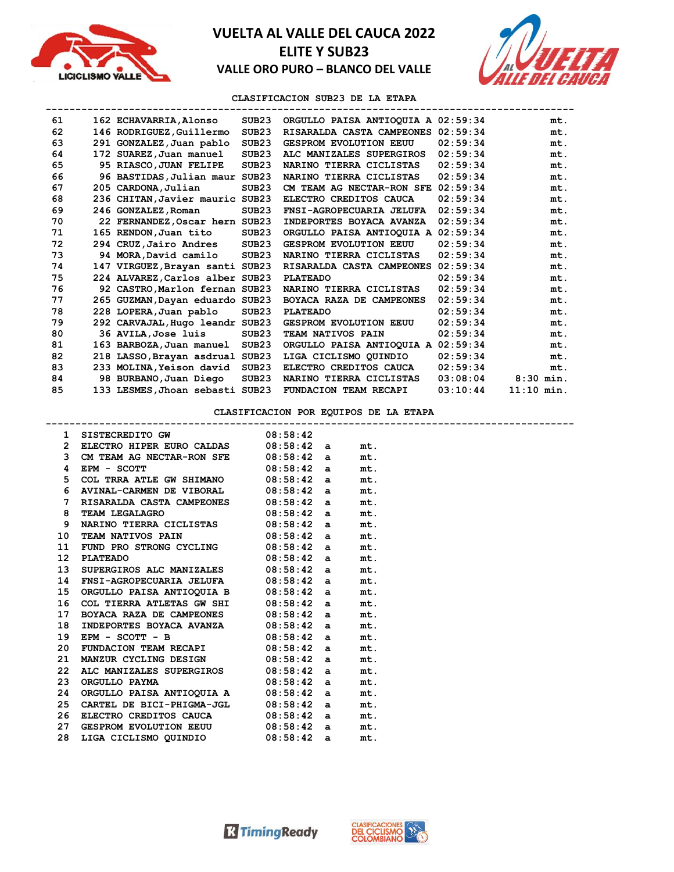



**CLASIFICACION SUB23 DE LA ETAPA**

| 61 | 162 ECHAVARRIA, Alonso          | SUB23             | ORGULLO PAISA ANTIOQUIA A 02:59:34 |          | mt.          |
|----|---------------------------------|-------------------|------------------------------------|----------|--------------|
| 62 | 146 RODRIGUEZ, Guillermo        | SUB <sub>23</sub> | RISARALDA CASTA CAMPEONES 02:59:34 |          | mt.          |
| 63 | 291 GONZALEZ, Juan pablo        | SUB <sub>23</sub> | <b>GESPROM EVOLUTION EEUU</b>      | 02:59:34 | mt.          |
| 64 | 172 SUAREZ, Juan manuel         | SUB <sub>23</sub> | ALC MANIZALES SUPERGIROS           | 02:59:34 | mt.          |
| 65 | 95 RIASCO, JUAN FELIPE          | SUB <sub>23</sub> | NARINO TIERRA CICLISTAS            | 02:59:34 | mt.          |
| 66 | 96 BASTIDAS, Julian maur SUB23  |                   | NARINO TIERRA CICLISTAS            | 02:59:34 | mt.          |
| 67 | 205 CARDONA, Julian             | SUB23             | CM TEAM AG NECTAR-RON SFE          | 02:59:34 | mt.          |
| 68 | 236 CHITAN, Javier mauric SUB23 |                   | ELECTRO CREDITOS CAUCA             | 02:59:34 | mt.          |
| 69 | 246 GONZALEZ, Roman             | SUB <sub>23</sub> | FNSI-AGROPECUARIA JELUFA           | 02:59:34 | mt.          |
| 70 | 22 FERNANDEZ, Oscar hern SUB23  |                   | INDEPORTES BOYACA AVANZA           | 02:59:34 | mt.          |
| 71 | 165 RENDON, Juan tito           | SUB <sub>23</sub> | ORGULLO PAISA ANTIOQUIA A          | 02:59:34 | mt.          |
| 72 | 294 CRUZ,Jairo Andres           | SUB <sub>23</sub> | <b>GESPROM EVOLUTION EEUU</b>      | 02:59:34 | mt.          |
| 73 | 94 MORA, David camilo           | SUB <sub>23</sub> | NARINO TIERRA CICLISTAS            | 02:59:34 | mt.          |
| 74 | 147 VIRGUEZ, Brayan santi SUB23 |                   | RISARALDA CASTA CAMPEONES          | 02:59:34 | mt.          |
| 75 | 224 ALVAREZ, Carlos alber SUB23 |                   | <b>PLATEADO</b>                    | 02:59:34 | mt.          |
| 76 | 92 CASTRO, Marlon fernan SUB23  |                   | NARINO TIERRA CICLISTAS            | 02:59:34 | mt.          |
| 77 | 265 GUZMAN, Dayan eduardo SUB23 |                   | BOYACA RAZA DE CAMPEONES           | 02:59:34 | mt.          |
| 78 | 228 LOPERA, Juan pablo          | SUB <sub>23</sub> | <b>PLATEADO</b>                    | 02:59:34 | mt.          |
| 79 | 292 CARVAJAL, Hugo leandr SUB23 |                   | <b>GESPROM EVOLUTION EEUU</b>      | 02:59:34 | mt.          |
| 80 | 36 AVILA, Jose luis             | SUB <sub>23</sub> | <b>TEAM NATIVOS PAIN</b>           | 02:59:34 | mt.          |
| 81 | 163 BARBOZA, Juan manuel        | SUB <sub>23</sub> | ORGULLO PAISA ANTIOQUIA A          | 02:59:34 | mt.          |
| 82 | 218 LASSO, Brayan asdrual SUB23 |                   | LIGA CICLISMO OUINDIO              | 02:59:34 | mt.          |
| 83 | 233 MOLINA, Yeison david        | SUB <sub>23</sub> | ELECTRO CREDITOS CAUCA             | 02:59:34 | mt.          |
| 84 | 98 BURBANO, Juan Diego          | SUB <sub>23</sub> | NARINO TIERRA CICLISTAS            | 03:08:04 | $8:30$ min.  |
| 85 | 133 LESMES, Jhoan sebasti SUB23 |                   | FUNDACION TEAM RECAPI              | 03:10:44 | $11:10$ min. |

### **CLASIFICACION POR EQUIPOS DE LA ETAPA**

|                  | 1 SISTECREDITO GW 08:58:42                  |            |     |
|------------------|---------------------------------------------|------------|-----|
|                  | 2 ELECTRO HIPER EURO CALDAS 08:58:42 a      |            | mt. |
|                  | 3 CM TEAM AG NECTAR-RON SFE 08:58:42 a      |            | mt. |
| 4                | $08:58:42$ a<br>EPM - SCOTT                 |            | mt. |
|                  | 5 COL TRRA ATLE GW SHIMANO 08:58:42 a       |            | mt. |
| 6                | AVINAL-CARMEN DE VIBORAL 08:58:42 a         |            | mt. |
| 7                | RISARALDA CASTA CAMPEONES 08:58:42 a        |            | mt. |
| 8                | TEAM LEGALAGRO 08:58:42 a                   |            | mt. |
| 9                | NARINO TIERRA CICLISTAS 08:58:42 a          |            | mt. |
| 10               | TEAM NATIVOS PAIN 08:58:42 a                |            | mt. |
| 11               | FUND PRO STRONG CYCLING 08:58:42 a mt.      |            |     |
| 12 <sup>12</sup> | <b>PLATEADO</b><br>$08:58:42$ a             |            | mt. |
| 13               | SUPERGIROS ALC MANIZALES 08:58:42 a         |            | mt. |
| 14               | FNSI-AGROPECUARIA JELUFA 08:58:42 a         |            | mt. |
|                  | 15 ORGULLO PAISA ANTIOQUIA B 08:58:42 a mt. |            |     |
| 16               | COL TIERRA ATLETAS GW SHI $08:58:42$ a      |            | mt. |
| 17               | BOYACA RAZA DE CAMPEONES 08:58:42 a         |            | mt. |
| 18               | INDEPORTES BOYACA AVANZA 08:58:42 a         |            | mt. |
| 19               | EPM - SCOTT - B $08:58:42$ a                |            | mt. |
| 20               | FUNDACION TEAM RECAPI $08:58:42$ a          |            | mt. |
| 21               | MANZUR CYCLING DESIGN 08:58:42 a            |            | mt. |
| 22.              | ALC MANIZALES SUPERGIROS 08:58:42 a         |            | mt. |
| 23.              | $08:58:42$ a<br>ORGULLO PAYMA               |            | mt. |
| 24               | ORGULLO PAISA ANTIOQUIA A 08:58:42 a        |            | mt. |
| 25               | CARTEL DE BICI-PHIGMA-JGL $08:58:42$ a      |            | mt. |
| 26               | ELECTRO CREDITOS CAUCA 08:58:42 a           |            | mt. |
| 27               | GESPROM EVOLUTION EEUU 08:58:42 a           |            | mt. |
| 28               | LIGA CICLISMO QUINDIO                       | 08:58:42 a | mt. |

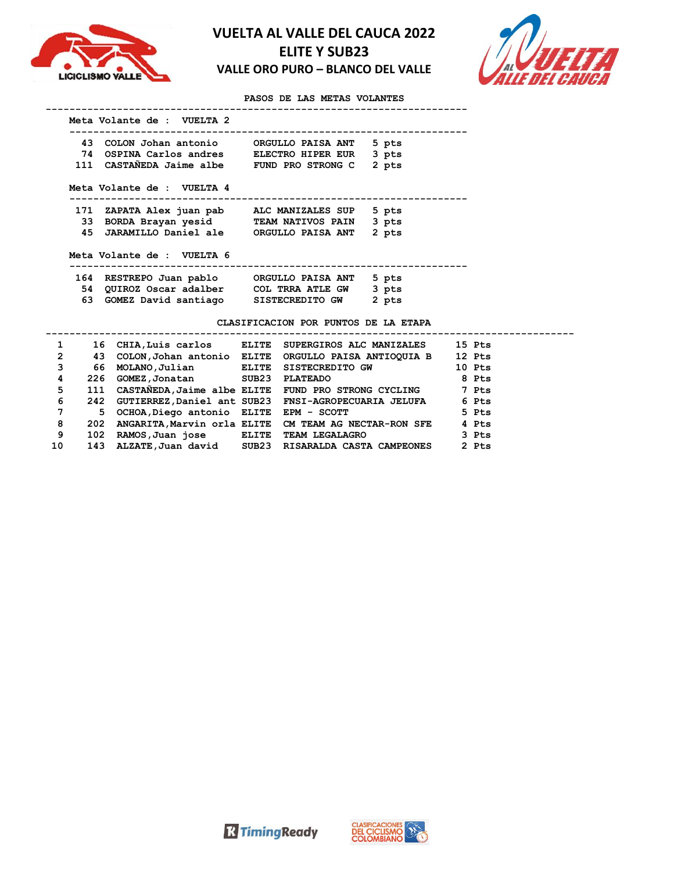



**PASOS DE LAS METAS VOLANTES**

| 43. | COLON Johan antonio        | ORGULLO PAISA ANT        | 5 pts |
|-----|----------------------------|--------------------------|-------|
|     | 74 OSPINA Carlos andres    | <b>ELECTRO HIPER EUR</b> | 3 pts |
|     | 111 CASTANEDA Jaime albe   | FUND PRO STRONG C        | 2 pts |
|     |                            |                          |       |
|     | Meta Volante de : VUELTA 4 |                          |       |
|     | 171 ZAPATA Alex juan pab   | ALC MANIZALES SUP        | 5 pts |
|     | 33 BORDA Brayan yesid      | <b>TEAM NATIVOS PAIN</b> | 3 pts |
| 45  | JARAMILLO Daniel ale       | ORGULLO PAISA ANT        | 2 pts |
|     | Meta Volante de : VUELTA 6 |                          |       |
| 164 | RESTREPO Juan pablo        | ORGULLO PAISA ANT        | 5 pts |
|     | 54 QUIROZ Oscar adalber    | COL TRRA ATLE GW         | 3 pts |
| 63. | GOMEZ David santiago       | SISTECREDITO GW          | 2 pts |

#### **CLASIFICACION POR PUNTOS DE LA ETAPA**

| 1            |     | 16 CHIA, Luis carlos                   | ELITE | SUPERGIROS ALC MANIZALES                                 | 15 Pts |
|--------------|-----|----------------------------------------|-------|----------------------------------------------------------|--------|
| $\mathbf{2}$ | 43  | COLON, Johan antonio ELITE             |       | ORGULLO PAISA ANTIOQUIA B                                | 12 Pts |
| 3            | 66  | MOLANO, Julian                         |       | ELITE SISTECREDITO GW                                    | 10 Pts |
| 4            | 226 | GOMEZ, Jonatan SUB23                   |       | PLATEADO                                                 | 8 Pts  |
| 5            | 111 |                                        |       | CASTANEDA, Jaime albe ELITE FUND PRO STRONG CYCLING      | 7 Pts  |
| 6            |     |                                        |       | 242 GUTIERREZ, Daniel ant SUB23 FNSI-AGROPECUARIA JELUFA | 6 Pts  |
| 7            | 5   | OCHOA, Diego antonio ELITE EPM - SCOTT |       |                                                          | 5 Pts  |
| 8            | 202 |                                        |       | ANGARITA, Marvin orla ELITE CM TEAM AG NECTAR-RON SFE    | 4 Pts  |
| 9            | 102 | RAMOS, Juan jose ELITE                 |       | <b>TEAM LEGALAGRO</b>                                    | 3 Pts  |
| 10           | 143 |                                        |       | ALZATE, Juan david SUB23 RISARALDA CASTA CAMPEONES       | 2 Pts  |



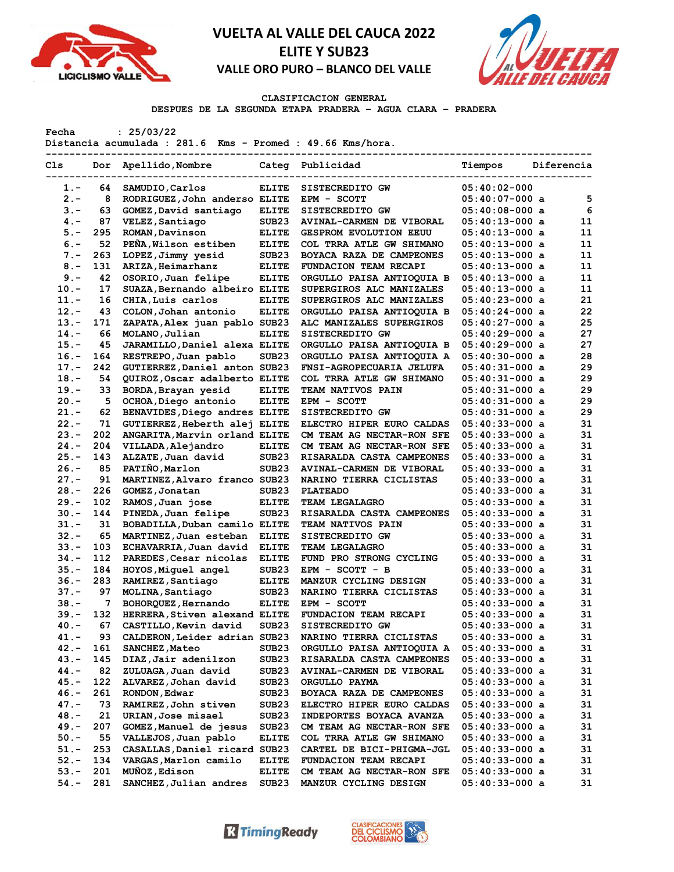



#### **CLASIFICACION GENERAL**

**DESPUES DE LA SEGUNDA ETAPA PRADERA – AGUA CLARA – PRADERA**

**Fecha : 25/03/22**

**Distancia acumulada : 281.6 Kms - Promed : 49.66 Kms/hora.**

| Cls     | Dor | Apellido, Nombre              |                   | Categ Publicidad              | Tiempos          | Diferencia |
|---------|-----|-------------------------------|-------------------|-------------------------------|------------------|------------|
| $1. -$  | 64  | SAMUDIO, Carlos               | <b>ELITE</b>      | SISTECREDITO GW               | $05:40:02-000$   |            |
| $2 -$   | 8   | RODRIGUEZ, John anderso ELITE |                   | EPM - SCOTT                   | $05:40:07-000$ a | 5          |
| $3 -$   | 63  | GOMEZ, David santiago         | <b>ELITE</b>      | SISTECREDITO GW               | $05:40:08-000$ a | 6          |
| $4. -$  | 87  | VELEZ, Santiago               | SUB <sub>23</sub> | AVINAL-CARMEN DE VIBORAL      | $05:40:13-000$ a | 11         |
| $5. -$  | 295 | ROMAN, Davinson               | <b>ELITE</b>      | <b>GESPROM EVOLUTION EEUU</b> | $05:40:13-000$ a | 11         |
| $6. -$  | 52  | PEÑA, Wilson estiben          | <b>ELITE</b>      | COL TRRA ATLE GW SHIMANO      | $05:40:13-000$ a | 11         |
| $7 -$   | 263 | LOPEZ, Jimmy yesid            | SUB <sub>23</sub> | BOYACA RAZA DE CAMPEONES      | 05:40:13-000 a   | 11         |
| $8 -$   | 131 | ARIZA, Heimarhanz             | <b>ELITE</b>      | FUNDACION TEAM RECAPI         | 05:40:13-000 a   | 11         |
| $9 -$   | 42  | OSORIO, Juan felipe           | <b>ELITE</b>      | ORGULLO PAISA ANTIOQUIA B     | $05:40:13-000$ a | 11         |
| $10. -$ | 17  | SUAZA, Bernando albeiro ELITE |                   | SUPERGIROS ALC MANIZALES      | $05:40:13-000$ a | 11         |
| $11. -$ | 16  | CHIA, Luis carlos             | <b>ELITE</b>      | SUPERGIROS ALC MANIZALES      | $05:40:23-000$ a | 21         |
| $12 -$  | 43  | COLON, Johan antonio          | <b>ELITE</b>      | ORGULLO PAISA ANTIOQUIA B     | $05:40:24-000$ a | 22         |
| $13 -$  | 171 | ZAPATA, Alex juan pablo SUB23 |                   | ALC MANIZALES SUPERGIROS      | $05:40:27-000$ a | 25         |
| $14. -$ | 66  | MOLANO, Julian                | <b>ELITE</b>      | SISTECREDITO GW               | $05:40:29-000$ a | 27         |
| $15. -$ | 45  | JARAMILLO, Daniel alexa ELITE |                   | ORGULLO PAISA ANTIOQUIA B     | $05:40:29-000$ a | 27         |
| $16. -$ | 164 | RESTREPO, Juan pablo          | SUB23             | ORGULLO PAISA ANTIOQUIA A     | $05:40:30-000$ a | 28         |
| $17. -$ | 242 | GUTIERREZ, Daniel anton SUB23 |                   | FNSI-AGROPECUARIA JELUFA      | $05:40:31-000$ a | 29         |
| $18. -$ | 54  | QUIROZ, Oscar adalberto ELITE |                   | COL TRRA ATLE GW SHIMANO      | $05:40:31-000$ a | 29         |
| $19. -$ | 33  | BORDA, Brayan yesid           | <b>ELITE</b>      | TEAM NATIVOS PAIN             | $05:40:31-000$ a | 29         |
| $20. -$ | 5   | OCHOA, Diego antonio          | <b>ELITE</b>      | EPM - SCOTT                   | $05:40:31-000$ a | 29         |
| $21 -$  | 62  | BENAVIDES, Diego andres ELITE |                   | SISTECREDITO GW               | $05:40:31-000$ a | 29         |
| $22 -$  | 71  | GUTIERREZ, Heberth alej ELITE |                   | ELECTRO HIPER EURO CALDAS     | $05:40:33-000$ a | 31         |
| $23 -$  | 202 | ANGARITA, Marvin orland ELITE |                   | CM TEAM AG NECTAR-RON SFE     | $05:40:33-000$ a | 31         |
| $24. -$ | 204 | VILLADA, Alejandro            | <b>ELITE</b>      | CM TEAM AG NECTAR-RON SFE     | $05:40:33-000$ a | 31         |
| $25. -$ | 143 | ALZATE, Juan david            | SUB <sub>23</sub> | RISARALDA CASTA CAMPEONES     | $05:40:33-000$ a | 31         |
| $26. -$ | 85  | PATIÑO, Marlon                | SUB <sub>23</sub> | AVINAL-CARMEN DE VIBORAL      | $05:40:33-000$ a | 31         |
| $27. -$ | 91  | MARTINEZ, Alvaro franco SUB23 |                   | NARINO TIERRA CICLISTAS       | 05:40:33-000 a   | 31         |
| $28 -$  | 226 | GOMEZ, Jonatan                | SUB23             | <b>PLATEADO</b>               | $05:40:33-000$ a | 31         |
| $29. -$ | 102 | RAMOS, Juan jose              | <b>ELITE</b>      | TEAM LEGALAGRO                | $05:40:33-000$ a | 31         |
| $30 -$  | 144 | PINEDA, Juan felipe           | SUB <sub>23</sub> | RISARALDA CASTA CAMPEONES     | $05:40:33-000$ a | 31         |
| $31 -$  | 31  | BOBADILLA, Duban camilo ELITE |                   | TEAM NATIVOS PAIN             | $05:40:33-000$ a | 31         |
| $32 -$  | 65  | MARTINEZ, Juan esteban        | <b>ELITE</b>      | SISTECREDITO GW               | $05:40:33-000$ a | 31         |
| $33 -$  | 103 | ECHAVARRIA, Juan david        | <b>ELITE</b>      | TEAM LEGALAGRO                | $05:40:33-000$ a | 31         |
| 34.-    | 112 | PAREDES, Cesar nicolas        | <b>ELITE</b>      | FUND PRO STRONG CYCLING       | $05:40:33-000$ a | 31         |
| $35. -$ | 184 | HOYOS, Miquel angel           | SUB <sub>23</sub> | EPM - SCOTT - B               | $05:40:33-000$ a | 31         |
| $36. -$ | 283 | RAMIREZ, Santiago             | <b>ELITE</b>      | MANZUR CYCLING DESIGN         | $05:40:33-000$ a | 31         |
| $37 -$  | 97  | MOLINA, Santiago              | SUB <sub>23</sub> | NARINO TIERRA CICLISTAS       | $05:40:33-000$ a | 31         |
| $38 -$  | 7   | BOHORQUEZ, Hernando           | <b>ELITE</b>      | EPM - SCOTT                   | $05:40:33-000$ a | 31         |
| $39. -$ | 132 | HERRERA, Stiven alexand ELITE |                   | FUNDACION TEAM RECAPI         | $05:40:33-000$ a | 31         |
| $40 -$  | 67  | CASTILLO, Kevin david         | SUB <sub>23</sub> | SISTECREDITO GW               | $05:40:33-000$ a | 31         |
| $41. -$ | 93  | CALDERON, Leider adrian SUB23 |                   | NARINO TIERRA CICLISTAS       | $05:40:33-000$ a | 31         |
| $42 -$  | 161 | SANCHEZ, Mateo                | SUB23             | ORGULLO PAISA ANTIOQUIA A     | $05:40:33-000$ a | 31         |
| 43.-    | 145 | DIAZ, Jair adenilzon          | SUB23             | RISARALDA CASTA CAMPEONES     | $05:40:33-000$ a | 31         |
| $44. -$ | 82  | ZULUAGA, Juan david           | SUB23             | AVINAL-CARMEN DE VIBORAL      | $05:40:33-000$ a | 31         |
| 45.-    | 122 | ALVAREZ, Johan david          | SUB23             | ORGULLO PAYMA                 | $05:40:33-000$ a | 31         |
| $46. -$ | 261 | RONDON, Edwar                 | SUB <sub>23</sub> | BOYACA RAZA DE CAMPEONES      | $05:40:33-000$ a | 31         |
| $47. -$ | 73  | RAMIREZ, John stiven          | SUB23             | ELECTRO HIPER EURO CALDAS     | $05:40:33-000$ a | 31         |
| $48. -$ | 21  | URIAN, Jose misael            | SUB23             | INDEPORTES BOYACA AVANZA      | $05:40:33-000$ a | 31         |
| $49. -$ | 207 | GOMEZ, Manuel de jesus        | SUB23             | CM TEAM AG NECTAR-RON SFE     | $05:40:33-000$ a | 31         |
| $50. -$ | 55  | VALLEJOS, Juan pablo          | <b>ELITE</b>      | COL TRRA ATLE GW SHIMANO      | $05:40:33-000$ a | 31         |
| $51. -$ | 253 | CASALLAS, Daniel ricard SUB23 |                   | CARTEL DE BICI-PHIGMA-JGL     | $05:40:33-000$ a | 31         |
| $52 -$  | 134 | VARGAS, Marlon camilo         | <b>ELITE</b>      | FUNDACION TEAM RECAPI         | $05:40:33-000$ a | 31         |
| $53. -$ | 201 | MUÑOZ, Edison                 | <b>ELITE</b>      | CM TEAM AG NECTAR-RON SFE     | $05:40:33-000$ a | 31         |
| $54. -$ | 281 | SANCHEZ, Julian andres        | SUB <sub>23</sub> | MANZUR CYCLING DESIGN         | $05:40:33-000$ a | 31         |



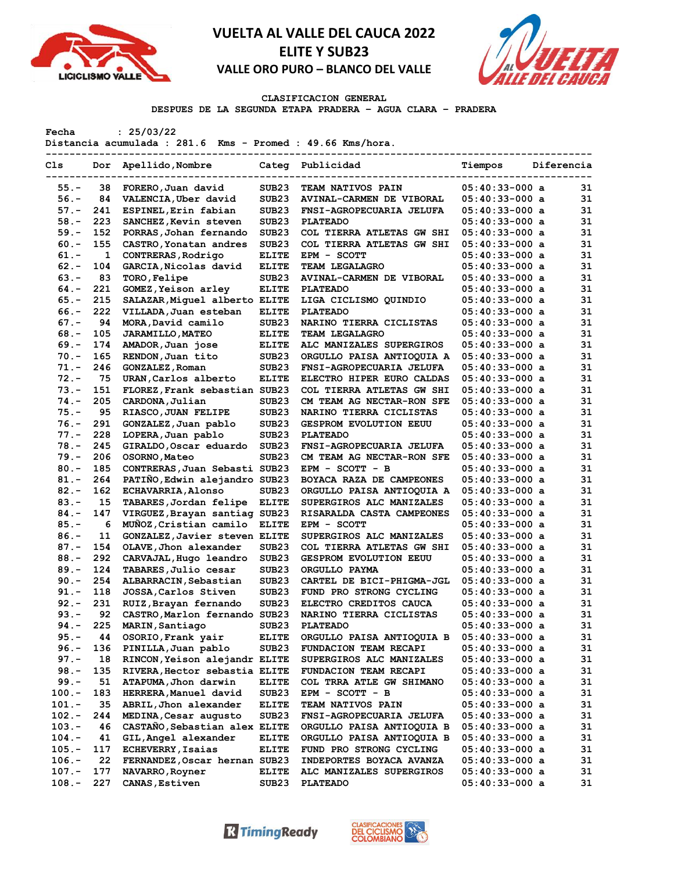



### **CLASIFICACION GENERAL**

**DESPUES DE LA SEGUNDA ETAPA PRADERA – AGUA CLARA – PRADERA**

**Fecha : 25/03/22**

**Distancia acumulada : 281.6 Kms - Promed : 49.66 Kms/hora.**

| Cls      | Dor          | Apellido, Nombre                               |                   | Categ Publicidad                                      | Tiempos                              | Diferencia |    |
|----------|--------------|------------------------------------------------|-------------------|-------------------------------------------------------|--------------------------------------|------------|----|
| $55. -$  | 38           | FORERO, Juan david                             | SUB <sub>23</sub> | TEAM NATIVOS PAIN                                     | $05:40:33-000$ a                     |            | 31 |
| $56. -$  | 84           | VALENCIA, Uber david                           | SUB <sub>23</sub> | AVINAL-CARMEN DE VIBORAL                              | $05:40:33-000$ a                     |            | 31 |
| $57. -$  | 241          | ESPINEL, Erin fabian                           | SUB <sub>23</sub> | FNSI-AGROPECUARIA JELUFA                              | $05:40:33-000$ a                     |            | 31 |
| $58. -$  | 223          | SANCHEZ, Kevin steven                          | SUB <sub>23</sub> | <b>PLATEADO</b>                                       | $05:40:33-000$ a                     |            | 31 |
| $59. -$  | 152          | PORRAS, Johan fernando                         | SUB <sub>23</sub> | COL TIERRA ATLETAS GW SHI                             | $05:40:33-000$ a                     |            | 31 |
| $60 -$   | 155          | CASTRO, Yonatan andres                         | SUB <sub>23</sub> | COL TIERRA ATLETAS GW SHI                             | $05:40:33-000$ a                     |            | 31 |
| $61. -$  | $\mathbf{1}$ | CONTRERAS, Rodrigo                             | <b>ELITE</b>      | EPM - SCOTT                                           | $05:40:33-000$ a                     |            | 31 |
| $62 -$   | 104          | GARCIA, Nicolas david                          | <b>ELITE</b>      | TEAM LEGALAGRO                                        | $05:40:33-000$ a                     |            | 31 |
| $63 -$   | 83           | <b>TORO, Felipe</b>                            | SUB <sub>23</sub> | AVINAL-CARMEN DE VIBORAL                              | $05:40:33-000$ a                     |            | 31 |
| $64. -$  | 221          | GOMEZ, Yeison arley                            | <b>ELITE</b>      | <b>PLATEADO</b>                                       | $05:40:33-000$ a                     |            | 31 |
| $65. -$  | 215          | SALAZAR, Miguel alberto ELITE                  |                   | LIGA CICLISMO QUINDIO                                 | $05:40:33-000$ a                     |            | 31 |
| $66. -$  | 222          | VILLADA, Juan esteban                          | <b>ELITE</b>      | <b>PLATEADO</b>                                       | $05:40:33-000$ a                     |            | 31 |
| $67. -$  | 94           | MORA, David camilo                             | SUB <sub>23</sub> | NARINO TIERRA CICLISTAS                               | $05:40:33-000$ a                     |            | 31 |
| $68 -$   | 105          | <b>JARAMILLO, MATEO</b>                        | <b>ELITE</b>      | TEAM LEGALAGRO                                        | $05:40:33-000$ a                     |            | 31 |
| $69. -$  | 174          | AMADOR, Juan jose                              | <b>ELITE</b>      | ALC MANIZALES SUPERGIROS                              | $05:40:33-000$ a                     |            | 31 |
| $70. -$  | 165          | RENDON, Juan tito                              | SUB <sub>23</sub> | ORGULLO PAISA ANTIOQUIA A                             | $05:40:33-000$ a                     |            | 31 |
| $71. -$  | 246          | GONZALEZ, Roman                                | SUB <sub>23</sub> | FNSI-AGROPECUARIA JELUFA                              | $05:40:33-000$ a                     |            | 31 |
| $72. -$  | 75           | URAN, Carlos alberto                           | <b>ELITE</b>      | ELECTRO HIPER EURO CALDAS                             | $05:40:33-000$ a                     |            | 31 |
| $73. -$  | 151          | FLOREZ, Frank sebastian SUB23                  |                   | COL TIERRA ATLETAS GW SHI                             | $05:40:33-000$ a                     |            | 31 |
| $74. -$  | 205          | CARDONA, Julian                                | SUB <sub>23</sub> | CM TEAM AG NECTAR-RON SFE                             | $05:40:33-000$ a                     |            | 31 |
| $75. -$  | 95           | RIASCO, JUAN FELIPE                            | SUB <sub>23</sub> | NARINO TIERRA CICLISTAS                               | $05:40:33-000$ a                     |            | 31 |
| $76. -$  | 291          | GONZALEZ, Juan pablo                           | SUB <sub>23</sub> | <b>GESPROM EVOLUTION EEUU</b>                         | $05:40:33-000$ a                     |            | 31 |
| $77. -$  | 228          | LOPERA, Juan pablo                             | SUB <sub>23</sub> | <b>PLATEADO</b>                                       | $05:40:33-000$ a                     |            | 31 |
| $78. -$  | 245          | GIRALDO, Oscar eduardo                         | SUB <sub>23</sub> | FNSI-AGROPECUARIA JELUFA                              | $05:40:33-000$ a                     |            | 31 |
| $79. -$  | 206          | OSORNO, Mateo                                  | SUB <sub>23</sub> | CM TEAM AG NECTAR-RON SFE                             | $05:40:33-000$ a                     |            | 31 |
| $80 -$   | 185          | CONTRERAS, Juan Sebasti SUB23                  |                   | EPM - SCOTT - B                                       | $05:40:33-000$ a                     |            | 31 |
| $81. -$  | 264          | PATIÑO, Edwin alejandro SUB23                  |                   | BOYACA RAZA DE CAMPEONES                              | $05:40:33-000$ a                     |            | 31 |
| $82 -$   | 162          | <b>ECHAVARRIA, Alonso</b>                      | SUB23             | ORGULLO PAISA ANTIOQUIA A                             | $05:40:33-000$ a                     |            | 31 |
| $83 -$   | 15           | TABARES, Jordan felipe                         | <b>ELITE</b>      | SUPERGIROS ALC MANIZALES                              | $05:40:33-000$ a                     |            | 31 |
| $84. -$  | 147          | VIRGUEZ, Brayan santiag SUB23                  |                   | RISARALDA CASTA CAMPEONES                             | $05:40:33-000$ a                     |            | 31 |
| $85. -$  | 6            | MUÑOZ, Cristian camilo                         | <b>ELITE</b>      | EPM - SCOTT                                           | $05:40:33-000$ a                     |            | 31 |
| $86. -$  | 11           | GONZALEZ, Javier steven ELITE                  |                   | SUPERGIROS ALC MANIZALES                              | $05:40:33-000$ a                     |            | 31 |
| $87. -$  | 154          | OLAVE, Jhon alexander                          | SUB <sub>23</sub> | <b>COL TIERRA ATLETAS GW SHI</b>                      | $05:40:33-000$ a                     |            | 31 |
| $88. -$  | 292          | CARVAJAL, Hugo leandro                         | SUB <sub>23</sub> | <b>GESPROM EVOLUTION EEUU</b>                         | $05:40:33-000$ a                     |            | 31 |
| $89. -$  | 124          | TABARES, Julio cesar                           | SUB <sub>23</sub> | <b>ORGULLO PAYMA</b>                                  | $05:40:33-000$ a                     |            | 31 |
| $90 -$   | 254          | ALBARRACIN, Sebastian                          | SUB <sub>23</sub> | CARTEL DE BICI-PHIGMA-JGL                             | $05:40:33-000$ a                     |            | 31 |
| $91. -$  | 118          | JOSSA, Carlos Stiven                           | SUB <sub>23</sub> | FUND PRO STRONG CYCLING                               | $05:40:33-000$ a                     |            | 31 |
| $92 -$   | 231          | RUIZ, Brayan fernando                          | SUB <sub>23</sub> | ELECTRO CREDITOS CAUCA                                | $05:40:33-000$ a                     |            | 31 |
| $93 -$   | 92           | CASTRO, Marlon fernando SUB23                  |                   | NARINO TIERRA CICLISTAS                               | $05:40:33-000$ a                     |            | 31 |
| $94. -$  | 225          | MARIN, Santiago                                | SUB <sub>23</sub> | <b>PLATEADO</b>                                       | $05:40:33-000$ a                     |            | 31 |
| $95. -$  | 44           | OSORIO, Frank yair                             | <b>ELITE</b>      | ORGULLO PAISA ANTIOQUIA B                             | $05:40:33-000$ a                     |            | 31 |
| $96. -$  | 136          | PINILLA, Juan pablo                            | SUB23             | <b>FUNDACION TEAM RECAPI</b>                          | $05:40:33-000$ a                     |            | 31 |
| $97. -$  | 18           | RINCON, Yeison alejandr ELITE                  |                   | SUPERGIROS ALC MANIZALES                              | $05:40:33-000$ a                     |            | 31 |
| $98. -$  | 135          | RIVERA, Hector sebastia ELITE                  |                   | FUNDACION TEAM RECAPI                                 | $05:40:33-000$ a                     |            | 31 |
| $99. -$  | 51           | ATAPUMA, Jhon darwin                           | <b>ELITE</b>      | COL TRRA ATLE GW SHIMANO                              | $05:40:33-000$ a                     |            | 31 |
| $100.-$  | 183          |                                                | SUB <sub>23</sub> |                                                       |                                      |            | 31 |
| $101. -$ | 35           | HERRERA, Manuel david<br>ABRIL, Jhon alexander | <b>ELITE</b>      | $EPM - SCOTT - B$<br><b>TEAM NATIVOS PAIN</b>         | $05:40:33-000$ a<br>$05:40:33-000$ a |            | 31 |
| $102. -$ | 244          | MEDINA, Cesar augusto                          | SUB <sub>23</sub> |                                                       |                                      |            | 31 |
| $103. -$ | 46           | CASTAÑO, Sebastian alex ELITE                  |                   | FNSI-AGROPECUARIA JELUFA<br>ORGULLO PAISA ANTIOQUIA B | $05:40:33-000$ a<br>$05:40:33-000$ a |            | 31 |
| $104. -$ | 41           | GIL, Angel alexander                           | <b>ELITE</b>      | ORGULLO PAISA ANTIOQUIA B                             | $05:40:33-000$ a                     |            | 31 |
| $105. -$ | 117          | <b>ECHEVERRY, Isaias</b>                       | <b>ELITE</b>      | FUND PRO STRONG CYCLING                               | $05:40:33-000$ a                     |            | 31 |
| $106.-$  | 22           | FERNANDEZ, Oscar hernan SUB23                  |                   | <b>INDEPORTES BOYACA AVANZA</b>                       | $05:40:33-000$ a                     |            | 31 |
| $107. -$ | 177          |                                                | <b>ELITE</b>      |                                                       |                                      |            | 31 |
| $108. -$ | 227          | NAVARRO, Royner<br>CANAS, Estiven              | SUB <sub>23</sub> | ALC MANIZALES SUPERGIROS<br><b>PLATEADO</b>           | $05:40:33-000$ a<br>$05:40:33-000$ a |            | 31 |
|          |              |                                                |                   |                                                       |                                      |            |    |



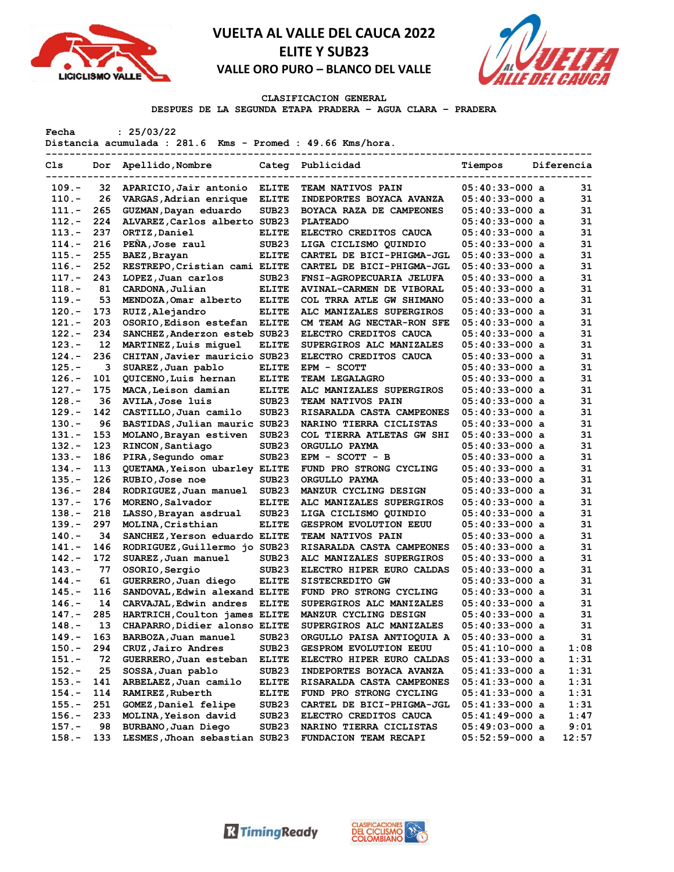



### **CLASIFICACION GENERAL**

**DESPUES DE LA SEGUNDA ETAPA PRADERA – AGUA CLARA – PRADERA**

**Fecha : 25/03/22**

**Distancia acumulada : 281.6 Kms - Promed : 49.66 Kms/hora.**

| Cls      | Dor | Apellido, Nombre                     | Categ             | Publicidad                                             | Tiempos          | Diferencia |
|----------|-----|--------------------------------------|-------------------|--------------------------------------------------------|------------------|------------|
| 109.-    | 32  | APARICIO, Jair antonio               | <b>ELITE</b>      | <b>TEAM NATIVOS PAIN</b>                               | $05:40:33-000$ a | 31         |
| $110. -$ | 26  | VARGAS, Adrian enrique               | <b>ELITE</b>      | INDEPORTES BOYACA AVANZA                               | $05:40:33-000$ a | 31         |
| $111. -$ | 265 | GUZMAN, Dayan eduardo                | SUB <sub>23</sub> | BOYACA RAZA DE CAMPEONES                               | $05:40:33-000$ a | 31         |
| $112 -$  | 224 | ALVAREZ, Carlos alberto SUB23        |                   | <b>PLATEADO</b>                                        | $05:40:33-000$ a | 31         |
| $113 -$  | 237 | ORTIZ, Daniel                        | <b>ELITE</b>      | ELECTRO CREDITOS CAUCA                                 | $05:40:33-000$ a | 31         |
| $114. -$ | 216 | PEÑA, Jose raul                      | SUB <sub>23</sub> | LIGA CICLISMO QUINDIO                                  | $05:40:33-000$ a | 31         |
| $115. -$ | 255 | BAEZ, Brayan                         | <b>ELITE</b>      | CARTEL DE BICI-PHIGMA-JGL                              | $05:40:33-000$ a | 31         |
| $116. -$ | 252 | RESTREPO, Cristian cami ELITE        |                   | CARTEL DE BICI-PHIGMA-JGL                              | $05:40:33-000$ a | 31         |
| $117. -$ | 243 | LOPEZ, Juan carlos                   | SUB <sub>23</sub> | FNSI-AGROPECUARIA JELUFA                               | $05:40:33-000$ a | 31         |
| $118. -$ | 81  | CARDONA, Julian                      | <b>ELITE</b>      | <b>AVINAL-CARMEN DE VIBORAL</b>                        | $05:40:33-000$ a | 31         |
| $119. -$ | 53  | MENDOZA, Omar alberto                | <b>ELITE</b>      | COL TRRA ATLE GW SHIMANO                               | $05:40:33-000$ a | 31         |
| $120 -$  | 173 | RUIZ, Alejandro                      | <b>ELITE</b>      | ALC MANIZALES SUPERGIROS                               | $05:40:33-000$ a | 31         |
| $121 -$  | 203 | OSORIO, Edison estefan               | <b>ELITE</b>      | CM TEAM AG NECTAR-RON SFE                              | $05:40:33-000$ a | 31         |
| $122 -$  | 234 | SANCHEZ, Anderzon esteb SUB23        |                   | ELECTRO CREDITOS CAUCA                                 | $05:40:33-000$ a | 31         |
| $123 -$  | 12  | MARTINEZ, Luis miquel                | <b>ELITE</b>      | SUPERGIROS ALC MANIZALES                               | $05:40:33-000$ a | 31         |
| $124. -$ | 236 | CHITAN, Javier mauricio SUB23        |                   | ELECTRO CREDITOS CAUCA                                 | $05:40:33-000$ a | 31         |
| $125. -$ | з   | SUAREZ, Juan pablo                   | <b>ELITE</b>      | EPM - SCOTT                                            | $05:40:33-000$ a | 31         |
| $126. -$ | 101 | QUICENO, Luis hernan                 | <b>ELITE</b>      | <b>TEAM LEGALAGRO</b>                                  | $05:40:33-000$ a | 31         |
| $127. -$ | 175 | MACA, Leison damian                  | <b>ELITE</b>      | ALC MANIZALES SUPERGIROS                               | $05:40:33-000$ a | 31         |
| $128 -$  | 36  | <b>AVILA, Jose luis</b>              | SUB <sub>23</sub> | <b>TEAM NATIVOS PAIN</b>                               | $05:40:33-000$ a | 31         |
| $129. -$ | 142 | CASTILLO, Juan camilo                | SUB <sub>23</sub> | RISARALDA CASTA CAMPEONES                              | $05:40:33-000$ a | 31         |
| $130 -$  | 96  | BASTIDAS, Julian mauric SUB23        |                   | NARINO TIERRA CICLISTAS                                | $05:40:33-000$ a | 31         |
| $131 -$  | 153 | MOLANO, Brayan estiven               | SUB <sub>23</sub> | COL TIERRA ATLETAS GW SHI                              | $05:40:33-000$ a | 31         |
| $132 -$  | 123 | RINCON, Santiago                     | SUB <sub>23</sub> | <b>ORGULLO PAYMA</b>                                   | $05:40:33-000$ a | 31         |
| $133 -$  | 186 | PIRA, Segundo omar                   | SUB <sub>23</sub> | EPM - SCOTT - B                                        | $05:40:33-000$ a | 31         |
| $134. -$ | 113 | <b>OUETAMA, Yeison ubarley ELITE</b> |                   | FUND PRO STRONG CYCLING                                | $05:40:33-000$ a | 31         |
| $135. -$ | 126 | RUBIO, Jose noe                      | SUB23             | ORGULLO PAYMA                                          | $05:40:33-000$ a | 31         |
| $136. -$ | 284 | RODRIGUEZ, Juan manuel               | SUB <sub>23</sub> | MANZUR CYCLING DESIGN                                  | $05:40:33-000$ a | 31         |
| $137 -$  | 176 | MORENO, Salvador                     | <b>ELITE</b>      | <b>ALC MANIZALES SUPERGIROS</b>                        | $05:40:33-000$ a | 31         |
| $138 -$  | 218 | LASSO, Brayan asdrual                | SUB <sub>23</sub> |                                                        | $05:40:33-000$ a | 31         |
| $139. -$ | 297 | MOLINA, Cristhian                    | <b>ELITE</b>      | LIGA CICLISMO QUINDIO<br><b>GESPROM EVOLUTION EEUU</b> | $05:40:33-000$ a | 31         |
| $140 -$  | 34  | SANCHEZ, Yerson eduardo ELITE        |                   | <b>TEAM NATIVOS PAIN</b>                               | $05:40:33-000$ a | 31         |
| $141. -$ | 146 | RODRIGUEZ, Guillermo jo SUB23        |                   |                                                        | $05:40:33-000$ a | 31         |
| $142. -$ | 172 |                                      | SUB <sub>23</sub> | RISARALDA CASTA CAMPEONES<br>ALC MANIZALES SUPERGIROS  | $05:40:33-000$ a | 31         |
| $143. -$ | 77  | SUAREZ, Juan manuel                  | SUB <sub>23</sub> |                                                        | $05:40:33-000$ a | 31         |
| $144. -$ | 61  | OSORIO, Sergio                       |                   | ELECTRO HIPER EURO CALDAS                              | $05:40:33-000$ a | 31         |
| $145. -$ | 116 | GUERRERO, Juan diego                 | <b>ELITE</b>      | <b>SISTECREDITO GW</b>                                 |                  | 31         |
|          |     | SANDOVAL, Edwin alexand ELITE        |                   | FUND PRO STRONG CYCLING                                | $05:40:33-000$ a | 31         |
| $146. -$ | 14  | CARVAJAL, Edwin andres               | <b>ELITE</b>      | SUPERGIROS ALC MANIZALES                               | $05:40:33-000$ a |            |
| $147. -$ | 285 | HARTRICH, Coulton james ELITE        |                   | MANZUR CYCLING DESIGN                                  | $05:40:33-000$ a | 31         |
| $148. -$ | 13  | CHAPARRO, Didier alonso ELITE        |                   | SUPERGIROS ALC MANIZALES                               | $05:40:33-000$ a | 31<br>31   |
| $149. -$ | 163 | BARBOZA, Juan manuel                 | SUB <sub>23</sub> | ORGULLO PAISA ANTIOQUIA A                              | 05:40:33-000 a   |            |
| $150.-$  | 294 | CRUZ, Jairo Andres                   | SUB23             | <b>GESPROM EVOLUTION EEUU</b>                          | $05:41:10-000$ a | 1:08       |
| $151. -$ | 72  | GUERRERO, Juan esteban               | <b>ELITE</b>      | ELECTRO HIPER EURO CALDAS                              | $05:41:33-000$ a | 1:31       |
| $152 -$  | 25  | SOSSA, Juan pablo                    | SUB <sub>23</sub> | <b>INDEPORTES BOYACA AVANZA</b>                        | $05:41:33-000$ a | 1:31       |
| $153 -$  | 141 | ARBELAEZ, Juan camilo                | <b>ELITE</b>      | RISARALDA CASTA CAMPEONES                              | $05:41:33-000$ a | 1:31       |
| $154. -$ | 114 | RAMIREZ, Ruberth                     | <b>ELITE</b>      | FUND PRO STRONG CYCLING                                | $05:41:33-000$ a | 1:31       |
| $155. -$ | 251 | GOMEZ, Daniel felipe                 | SUB23             | CARTEL DE BICI-PHIGMA-JGL                              | $05:41:33-000$ a | 1:31       |
| $156. -$ | 233 | MOLINA, Yeison david                 | SUB23             | ELECTRO CREDITOS CAUCA                                 | $05:41:49-000$ a | 1:47       |
| $157. -$ | 98  | BURBANO, Juan Diego                  | SUB23             | NARINO TIERRA CICLISTAS                                | $05:49:03-000$ a | 9:01       |
| $158. -$ | 133 | LESMES, Jhoan sebastian SUB23        |                   | FUNDACION TEAM RECAPI                                  | $05:52:59-000$ a | 12:57      |



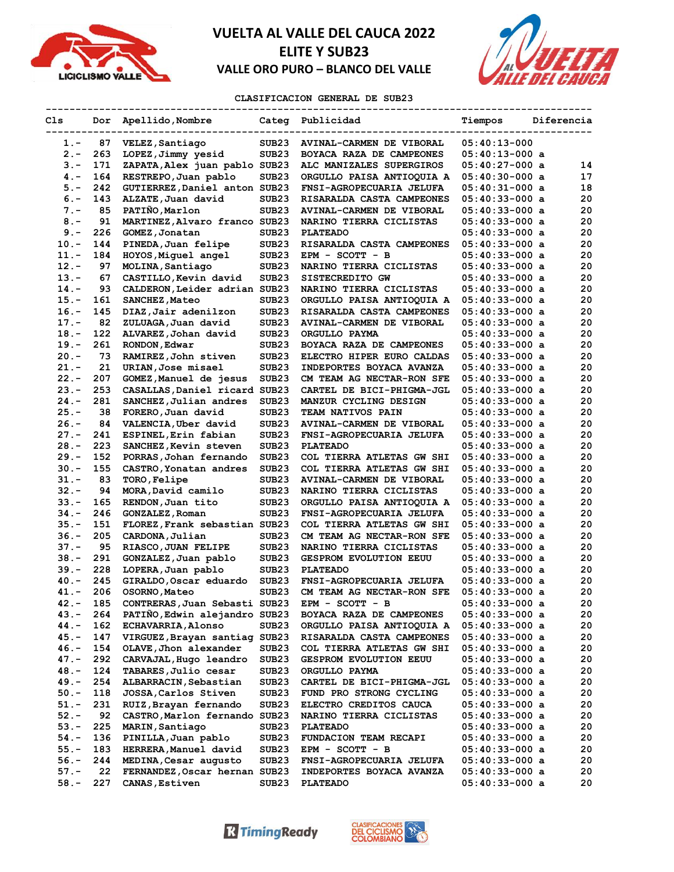



### **CLASIFICACION GENERAL DE SUB23**

| Cls                | Dor        | Apellido, Nombre                                       |                            | Categ Publicidad                              | Tiempos                              | Diferencia |          |
|--------------------|------------|--------------------------------------------------------|----------------------------|-----------------------------------------------|--------------------------------------|------------|----------|
| $1. -$             | 87         | VELEZ, Santiago                                        | SUB <sub>23</sub>          | AVINAL-CARMEN DE VIBORAL                      | $05:40:13-000$                       |            |          |
| $2 -$              | 263        | LOPEZ, Jimmy yesid                                     | SUB23                      | BOYACA RAZA DE CAMPEONES                      | $05:40:13-000$ a                     |            |          |
| $3 -$              | 171        | ZAPATA, Alex juan pablo SUB23                          |                            | ALC MANIZALES SUPERGIROS                      | $05:40:27-000$ a                     |            | 14       |
| $4 -$              | 164        | RESTREPO, Juan pablo                                   | SUB23                      | ORGULLO PAISA ANTIOQUIA A                     | $05:40:30-000$ a                     |            | 17       |
| $5. -$             | 242        | GUTIERREZ, Daniel anton SUB23                          |                            | FNSI-AGROPECUARIA JELUFA                      | $05:40:31-000$ a                     |            | 18       |
| $6. -$             | 143        | ALZATE, Juan david                                     | SUB <sub>23</sub>          | RISARALDA CASTA CAMPEONES                     | $05:40:33-000$ a                     |            | 20       |
| $7 -$              | 85         | PATIÑO, Marlon                                         | SUB <sub>23</sub>          | <b>AVINAL-CARMEN DE VIBORAL</b>               | $05:40:33-000$ a                     |            | 20       |
| $8 -$              | 91         | MARTINEZ, Alvaro franco SUB23                          |                            | NARINO TIERRA CICLISTAS                       | $05:40:33-000$ a                     |            | 20       |
| $9. -$             | 226        | GOMEZ, Jonatan                                         | SUB23                      | <b>PLATEADO</b>                               | $05:40:33-000$ a                     |            | 20       |
| $10. -$            | 144        | PINEDA, Juan felipe                                    | SUB <sub>23</sub>          | <b>RISARALDA CASTA CAMPEONES</b>              | $05:40:33-000$ a                     |            | 20       |
| $11. -$            | 184        | HOYOS, Miquel angel                                    | SUB <sub>23</sub>          | EPM - SCOTT - B                               | $05:40:33-000$ a                     |            | 20       |
| $12 -$             | 97         | MOLINA, Santiago                                       | SUB <sub>23</sub>          | NARINO TIERRA CICLISTAS                       | $05:40:33-000$ a                     |            | 20       |
| $13. -$            | 67         | CASTILLO, Kevin david                                  | SUB <sub>23</sub>          | SISTECREDITO GW                               | $05:40:33-000$ a                     |            | 20       |
| $14. -$            | 93         | CALDERON, Leider adrian SUB23                          |                            | NARINO TIERRA CICLISTAS                       | $05:40:33-000$ a                     |            | 20       |
| $15. -$            | 161        | SANCHEZ, Mateo                                         | SUB <sub>23</sub>          | ORGULLO PAISA ANTIOQUIA A                     | $05:40:33-000$ a                     |            | 20       |
| $16. -$            | 145        | DIAZ, Jair adenilzon                                   | SUB <sub>23</sub>          | RISARALDA CASTA CAMPEONES                     | $05:40:33-000$ a                     |            | 20       |
| $17. -$            | 82         | ZULUAGA, Juan david                                    | SUB23                      | <b>AVINAL-CARMEN DE VIBORAL</b>               | $05:40:33-000$ a                     |            | 20       |
| $18. -$            | 122        | ALVAREZ, Johan david                                   | SUB23                      | ORGULLO PAYMA                                 | $05:40:33-000$ a                     |            | 20       |
| $19. -$            | 261        | RONDON, Edwar                                          | SUB <sub>23</sub>          | BOYACA RAZA DE CAMPEONES                      | $05:40:33-000$ a                     |            | 20       |
| $20 -$             | 73         | RAMIREZ, John stiven                                   | SUB <sub>23</sub>          | ELECTRO HIPER EURO CALDAS                     | $05:40:33-000$ a                     |            | 20       |
| $21 -$             | 21         | URIAN, Jose misael                                     | SUB <sub>23</sub>          | INDEPORTES BOYACA AVANZA                      | $05:40:33-000$ a                     |            | 20       |
| $22 -$             | 207        | GOMEZ, Manuel de jesus                                 | SUB23                      | CM TEAM AG NECTAR-RON SFE                     | $05:40:33-000$ a                     |            | 20       |
| $23 -$             | 253        | CASALLAS, Daniel ricard SUB23                          |                            | CARTEL DE BICI-PHIGMA-JGL                     | 05:40:33-000 a                       |            | 20       |
| $24. -$            | 281        | SANCHEZ, Julian andres                                 | SUB23                      | MANZUR CYCLING DESIGN                         | $05:40:33-000$ a                     |            | 20       |
| $25. -$            | 38         | FORERO, Juan david                                     | SUB <sub>23</sub>          | TEAM NATIVOS PAIN                             | $05:40:33-000$ a                     |            | 20       |
| $26. -$            | 84         | VALENCIA, Uber david                                   | SUB <sub>23</sub>          | <b>AVINAL-CARMEN DE VIBORAL</b>               | $05:40:33-000$ a                     |            | 20       |
| $27 -$             | 241        | ESPINEL, Erin fabian                                   | SUB <sub>23</sub>          | FNSI-AGROPECUARIA JELUFA                      | $05:40:33-000$ a                     |            | 20       |
| $28. -$            | 223        | SANCHEZ, Kevin steven                                  | SUB <sub>23</sub>          | <b>PLATEADO</b>                               | $05:40:33-000$ a                     |            | 20       |
| $29. -$            | 152        | PORRAS, Johan fernando                                 | SUB <sub>23</sub>          | COL TIERRA ATLETAS GW SHI                     | $05:40:33-000$ a                     |            | 20       |
| $30 -$             | 155        | CASTRO, Yonatan andres                                 | SUB <sub>23</sub>          | COL TIERRA ATLETAS GW SHI                     | $05:40:33-000$ a                     |            | 20       |
| $31 -$             | 83         | TORO, Felipe                                           | SUB23                      | AVINAL-CARMEN DE VIBORAL                      | 05:40:33-000 a                       |            | 20       |
| $32 -$             | 94         | MORA, David camilo                                     | SUB <sub>23</sub>          | NARINO TIERRA CICLISTAS                       | $05:40:33-000$ a                     |            | 20       |
| $33 -$             | 165        | RENDON, Juan tito                                      | SUB <sub>23</sub>          | ORGULLO PAISA ANTIOQUIA A                     | $05:40:33-000$ a                     |            | 20       |
| $34. -$            | 246        | GONZALEZ, Roman                                        | SUB <sub>23</sub>          | FNSI-AGROPECUARIA JELUFA                      | $05:40:33-000$ a                     |            | 20       |
| $35. -$            | 151        | FLOREZ, Frank sebastian SUB23                          |                            | COL TIERRA ATLETAS GW SHI                     | $05:40:33-000$ a                     |            | 20       |
| $36. -$            | 205        | CARDONA, Julian                                        | SUB23                      | CM TEAM AG NECTAR-RON SFE                     | 05:40:33-000 a                       |            | 20       |
| $37 -$             | 95         |                                                        | SUB <sub>23</sub>          | NARINO TIERRA CICLISTAS                       | $05:40:33-000$ a                     |            | 20       |
| $38 -$             | 291        | RIASCO, JUAN FELIPE<br>GONZALEZ, Juan pablo            | SUB <sub>23</sub>          | <b>GESPROM EVOLUTION EEUU</b>                 | $05:40:33-000$ a                     |            | 20       |
| 39.-               | 228        |                                                        | SUB <sub>23</sub>          | <b>PLATEADO</b>                               | $05:40:33-000$ a                     |            | 20       |
| $40 -$             | 245        | LOPERA, Juan pablo<br>GIRALDO, Oscar eduardo           | SUB <sub>23</sub>          | FNSI-AGROPECUARIA JELUFA                      | $05:40:33-000$ a                     |            | 20       |
| $41. -$            | 206        | OSORNO, Mateo                                          | SUB23                      | CM TEAM AG NECTAR-RON SFE                     | $05:40:33-000$ a                     |            | 20       |
| $42 -$             | 185        | CONTRERAS, Juan Sebasti SUB23                          |                            |                                               | $05:40:33-000$ a                     |            | 20       |
| 43.-               | 264        | PATIÑO, Edwin alejandro SUB23                          |                            | $EPM - SCOTT - B$<br>BOYACA RAZA DE CAMPEONES | $05:40:33-000$ a                     |            | 20       |
| $44. -$            | 162        | <b>ECHAVARRIA, Alonso</b>                              | SUB <sub>23</sub>          | ORGULLO PAISA ANTIOQUIA A                     | $05:40:33-000$ a                     |            | 20       |
| $45. -$            | 147        | VIRGUEZ, Brayan santiag SUB23                          |                            | RISARALDA CASTA CAMPEONES                     | $05:40:33-000$ a                     |            | 20       |
| 46.-               | 154        | OLAVE, Jhon alexander                                  | SUB23                      | COL TIERRA ATLETAS GW SHI                     | 05:40:33-000 a                       |            | 20       |
| $47. -$            | 292        |                                                        | SUB <sub>23</sub>          |                                               |                                      |            | 20       |
| $48. -$            | 124        | CARVAJAL, Hugo leandro<br>TABARES, Julio cesar         | SUB <sub>23</sub>          | GESPROM EVOLUTION EEUU<br>ORGULLO PAYMA       | 05:40:33-000 a<br>$05:40:33-000$ a   |            | 20       |
|                    | 254        |                                                        |                            |                                               |                                      |            | 20       |
| 49.-<br>$50.-$     | 118        | ALBARRACIN, Sebastian<br>JOSSA, Carlos Stiven          | SUB23<br>SUB <sub>23</sub> | CARTEL DE BICI-PHIGMA-JGL                     | $05:40:33-000$ a<br>$05:40:33-000$ a |            | 20       |
| $51. -$            | 231        |                                                        |                            | FUND PRO STRONG CYCLING                       | $05:40:33-000$ a                     |            | 20       |
| $52 -$             | 92         | RUIZ, Brayan fernando<br>CASTRO, Marlon fernando SUB23 | SUB23                      | ELECTRO CREDITOS CAUCA                        | $05:40:33-000$ a                     |            | 20       |
|                    |            |                                                        |                            | NARINO TIERRA CICLISTAS                       |                                      |            |          |
| $53.-$<br>$54. -$  | 225<br>136 | MARIN, Santiago                                        | SUB23                      | <b>PLATEADO</b>                               | $05:40:33-000$ a                     |            | 20       |
| $55. -$            | 183        | PINILLA, Juan pablo                                    | SUB23                      | FUNDACION TEAM RECAPI                         | $05:40:33-000$ a                     |            | 20<br>20 |
|                    | 244        | HERRERA, Manuel david                                  | SUB <sub>23</sub>          | $EPM - SCOTT - B$                             | $05:40:33-000$ a                     |            | 20       |
| 56.-               | 22         | MEDINA, Cesar augusto                                  | SUB23                      | FNSI-AGROPECUARIA JELUFA                      | $05:40:33-000$ a                     |            |          |
| $57. -$<br>$58. -$ | 227        | FERNANDEZ, Oscar hernan SUB23                          |                            | INDEPORTES BOYACA AVANZA                      | $05:40:33-000$ a                     |            | 20<br>20 |
|                    |            | CANAS, Estiven                                         | SUB23                      | <b>PLATEADO</b>                               | $05:40:33-000$ a                     |            |          |

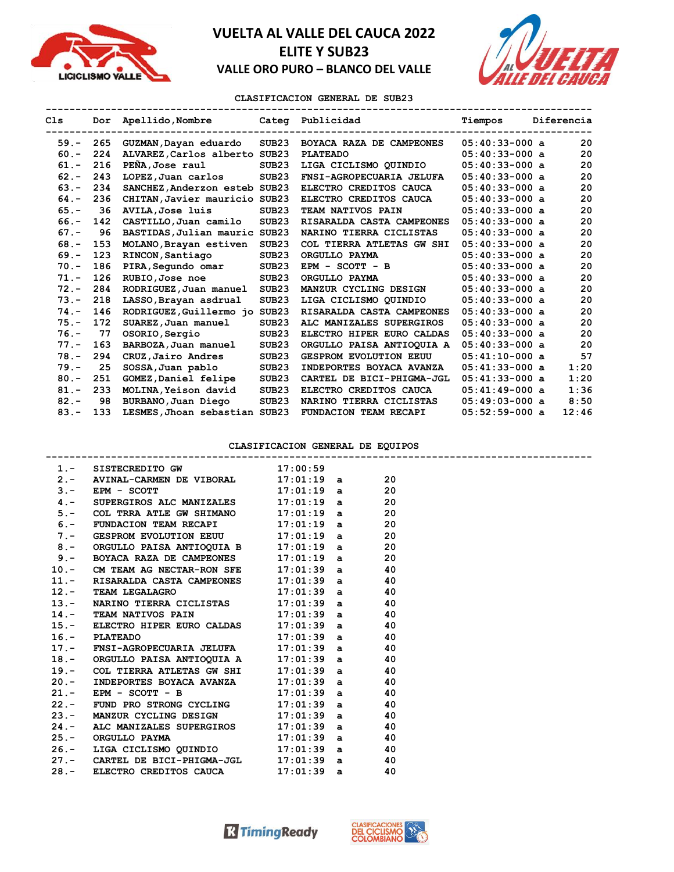



### **CLASIFICACION GENERAL DE SUB23**

| C1s     |     | Dor Apellido, Nombre          |                   | Categ Publicidad              | Tiempos          | Diferencia |
|---------|-----|-------------------------------|-------------------|-------------------------------|------------------|------------|
| $59. -$ | 265 | GUZMAN, Dayan eduardo         | SUB23             | BOYACA RAZA DE CAMPEONES      | $05:40:33-000$ a | 20         |
| $60 -$  | 224 | ALVAREZ, Carlos alberto SUB23 |                   | <b>PLATEADO</b>               | $05:40:33-000$ a | 20         |
| $61. -$ | 216 | PEÑA, Jose raul               | SUB23             | LIGA CICLISMO QUINDIO         | $05:40:33-000$ a | 20         |
| $62 -$  | 243 | LOPEZ,Juan carlos             | SUB <sub>23</sub> | FNSI-AGROPECUARIA JELUFA      | $05:40:33-000$ a | 20         |
| $63 -$  | 234 | SANCHEZ, Anderzon esteb SUB23 |                   | ELECTRO CREDITOS CAUCA        | $05:40:33-000$ a | 20         |
| $64. -$ | 236 | CHITAN, Javier mauricio SUB23 |                   | ELECTRO CREDITOS CAUCA        | $05:40:33-000$ a | 20         |
| $65. -$ | 36  | AVILA, Jose luis              | SUB <sub>23</sub> | TEAM NATIVOS PAIN             | $05:40:33-000$ a | 20         |
| $66. -$ | 142 | CASTILLO, Juan camilo         | SUB <sub>23</sub> | RISARALDA CASTA CAMPEONES     | $05:40:33-000$ a | 20         |
| $67. -$ | 96  | BASTIDAS, Julian mauric       | SUB <sub>23</sub> | NARINO TIERRA CICLISTAS       | $05:40:33-000$ a | 20         |
| $68 -$  | 153 | MOLANO, Brayan estiven        | SUB <sub>23</sub> | COL TIERRA ATLETAS GW SHI     | $05:40:33-000$ a | 20         |
| $69. -$ | 123 | RINCON, Santiago              | SUB <sub>23</sub> | ORGULLO PAYMA                 | $05:40:33-000$ a | 20         |
| $70. -$ | 186 | PIRA, Segundo omar            | SUB <sub>23</sub> | EPM - SCOTT - B               | $05:40:33-000$ a | 20         |
| $71. -$ | 126 | RUBIO, Jose noe               | SUB23             | ORGULLO PAYMA                 | $05:40:33-000$ a | 20         |
| $72 -$  | 284 | RODRIGUEZ, Juan manuel        | SUB <sub>23</sub> | MANZUR CYCLING DESIGN         | $05:40:33-000$ a | 20         |
| $73 -$  | 218 | LASSO, Brayan asdrual         | SUB23             | LIGA CICLISMO OUINDIO         | $05:40:33-000$ a | 20         |
| $74. -$ | 146 | RODRIGUEZ, Guillermo jo       | SUB <sub>23</sub> | RISARALDA CASTA CAMPEONES     | $05:40:33-000$ a | 20         |
| $75. -$ | 172 | SUAREZ, Juan manuel           | SUB <sub>23</sub> | ALC MANIZALES SUPERGIROS      | $05:40:33-000$ a | 20         |
| $76. -$ | 77  | OSORIO, Sergio                | SUB23             | ELECTRO HIPER EURO CALDAS     | $05:40:33-000$ a | 20         |
| $77. -$ | 163 | BARBOZA, Juan manuel          | SUB23             | ORGULLO PAISA ANTIOQUIA A     | $05:40:33-000$ a | 20         |
| $78. -$ | 294 | CRUZ, Jairo Andres            | SUB <sub>23</sub> | <b>GESPROM EVOLUTION EEUU</b> | $05:41:10-000$ a | 57         |
| $79. -$ | 25  | SOSSA, Juan pablo             | SUB <sub>23</sub> | INDEPORTES BOYACA AVANZA      | $05:41:33-000$ a | 1:20       |
| $80 -$  | 251 | GOMEZ, Daniel felipe          | SUB <sub>23</sub> | CARTEL DE BICI-PHIGMA-JGL     | $05:41:33-000$ a | 1:20       |
| $81 -$  | 233 | MOLINA, Yeison david          | SUB <sub>23</sub> | ELECTRO CREDITOS CAUCA        | $05:41:49-000$ a | 1:36       |
| $82 -$  | 98  | BURBANO, Juan Diego           | SUB <sub>23</sub> | NARINO TIERRA CICLISTAS       | $05:49:03-000$ a | 8:50       |
| $83 -$  | 133 | LESMES, Jhoan sebastian SUB23 |                   | FUNDACION TEAM RECAPI         | $05:52:59-000$ a | 12:46      |

### **CLASIFICACION GENERAL DE EQUIPOS**

| 1.- SISTECREDITO GW 17:00:59                                                                                |  |  |  |
|-------------------------------------------------------------------------------------------------------------|--|--|--|
| 2.- AVINAL-CARMEN DE VIBORAL $17:01:19$ a 20                                                                |  |  |  |
| 3. AN ANDER CONTROLLER SUPERGIROS ALC MANIZALES 17:01:19 a 20<br>4.- SUPERGIROS ALC MANIZALES 17:01:19 a 20 |  |  |  |
|                                                                                                             |  |  |  |
| $5.$ - COL TRRA ATLE GW SHIMANO $17:01:19$ a 20                                                             |  |  |  |
| 6.- FUNDACION TEAM RECAPI $17:01:19$ a 20                                                                   |  |  |  |
| 7.- GESPROM EVOLUTION EEUU 17:01:19 a 20                                                                    |  |  |  |
| 8. - ORGULLO PAISA ANTIOQUIA B 17:01:19 a 20                                                                |  |  |  |
|                                                                                                             |  |  |  |
| 9.- BOYACA RAZA DE CAMPEONES $17:01:19$ a $20$<br>10.- CM TEAM AG NECTAR-RON SFE $17:01:39$ a $40$          |  |  |  |
| 11.- RISARALDA CASTA CAMPEONES $17:01:39$ a 40                                                              |  |  |  |
| 12.- TEAM LEGALAGRO 17:01:39 a 40                                                                           |  |  |  |
| 13.- NARINO TIERRA CICLISTAS $17:01:39$ a 40                                                                |  |  |  |
|                                                                                                             |  |  |  |
| 14.- TEAM NATIVOS PAIN $17:01:39$ a $40$<br>15.- ELECTRO HIPER EURO CALDAS $17:01:39$ a $40$                |  |  |  |
| 16. - PLATEADO 17:01:39 a 40<br>17. - FNSI-AGROPECUARIA JELUFA 17:01:39 a 40                                |  |  |  |
|                                                                                                             |  |  |  |
| 18.- ORGULLO PAISA ANTIOQUIA A $17:01:39$ a 40                                                              |  |  |  |
| 19.- COL TIERRA ATLETAS GW SHI 17:01:39 a 40                                                                |  |  |  |
| 20.- INDEPORTES BOYACA AVANZA $17:01:39$ a 40                                                               |  |  |  |
| 21.- EPM - SCOTT - B<br>22.- FUND PRO STRONG CYCLING 17:01:39 a 40                                          |  |  |  |
|                                                                                                             |  |  |  |
| 23.- MANZUR CYCLING DESIGN $17:01:39$ a 40                                                                  |  |  |  |
| 24.- ALC MANIZALES SUPERGIROS $17:01:39$ a $40$<br>25.- ORGULLO PAYMA $17:01:39$ a $40$                     |  |  |  |
|                                                                                                             |  |  |  |
| 26.- LIGA CICLISMO QUINDIO 17:01:39 a 40                                                                    |  |  |  |
| 27.- CARTEL DE BICI-PHIGMA-JGL $17:01:39$ a 40                                                              |  |  |  |
| 28.- ELECTRO CREDITOS CAUCA 17:01:39 a 40                                                                   |  |  |  |

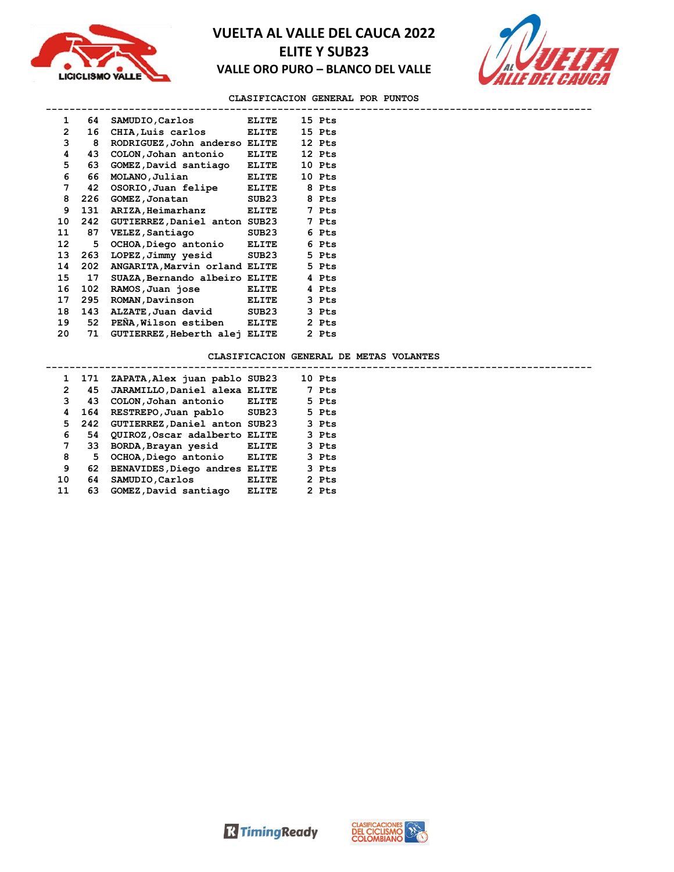



### **CLASIFICACION GENERAL POR PUNTOS**

| 1              | 64  | SAMUDIO,Carlos                | <b>ELITE</b> | 15 Pts |
|----------------|-----|-------------------------------|--------------|--------|
| $\overline{2}$ | 16  | CHIA, Luis carlos             | <b>ELITE</b> | 15 Pts |
| 3              | 8   | RODRIGUEZ, John anderso ELITE |              | 12 Pts |
| 4              | 43  | COLON, Johan antonio          | <b>ELITE</b> | 12 Pts |
| 5              | 63  | GOMEZ, David santiago         | <b>ELITE</b> | 10 Pts |
| 6              | 66  | MOLANO, Julian                | <b>ELITE</b> | 10 Pts |
| 7              | 42  | OSORIO, Juan felipe           | <b>ELITE</b> | 8 Pts  |
| 8              | 226 | GOMEZ,Jonatan                 | SUB23        | 8 Pts  |
| 9              | 131 | ARIZA, Heimarhanz             | <b>ELITE</b> | 7 Pts  |
| 10             | 242 | GUTIERREZ, Daniel anton SUB23 |              | 7 Pts  |
| 11             | 87  | VELEZ, Santiago               | SUB23        | 6 Pts  |
| 12             | 5   | OCHOA, Diego antonio ELITE    |              | 6 Pts  |
| 13             | 263 | LOPEZ,Jimmy yesid             | SUB23        | 5 Pts  |
| 14             | 202 | ANGARITA, Marvin orland ELITE |              | 5 Pts  |
| 15             | 17  | SUAZA, Bernando albeiro ELITE |              | 4 Pts  |
| 16             | 102 | RAMOS,Juan jose               | <b>ELITE</b> | 4 Pts  |
| 17             | 295 | ROMAN, Davinson               | ELITE        | 3 Pts  |
| 18             | 143 | ALZATE, Juan david            | SUB23        | 3 Pts  |
| 19             | 52  | PEÑA, Wilson estiben ELITE    |              | 2 Pts  |
| 20             | 71  | GUTIERREZ, Heberth alej ELITE |              | 2 Pts  |

### **CLASIFICACION GENERAL DE METAS VOLANTES**

|                      | 1 171 | ZAPATA, Alex juan pablo SUB23     |              | 10 Pts |       |  |
|----------------------|-------|-----------------------------------|--------------|--------|-------|--|
| $\mathbf{2}^{\circ}$ | 45    | JARAMILLO, Daniel alexa ELITE     |              |        | 7 Pts |  |
| 3                    | 43    | COLON, Johan antonio              | ELITE        |        | 5 Pts |  |
| 4                    | 164   | RESTREPO, Juan pablo SUB23        |              |        | 5 Pts |  |
| 5                    |       | 242 GUTIERREZ, Daniel anton SUB23 |              |        | 3 Pts |  |
| 6                    | 54    | QUIROZ, Oscar adalberto ELITE     |              |        | 3 Pts |  |
| 7                    |       | 33 BORDA, Brayan yesid            | ELITE        |        | 3 Pts |  |
| 8                    | 5     | OCHOA, Diego antonio ELITE        |              |        | 3 Pts |  |
| 9                    | 62.   | BENAVIDES, Diego andres ELITE     |              |        | 3 Pts |  |
| 10                   | 64    | SAMUDIO, Carlos                   | ELITE        |        | 2 Pts |  |
| 11                   | 63    | GOMEZ, David santiago             | <b>ELITE</b> |        | 2 Pts |  |
|                      |       |                                   |              |        |       |  |



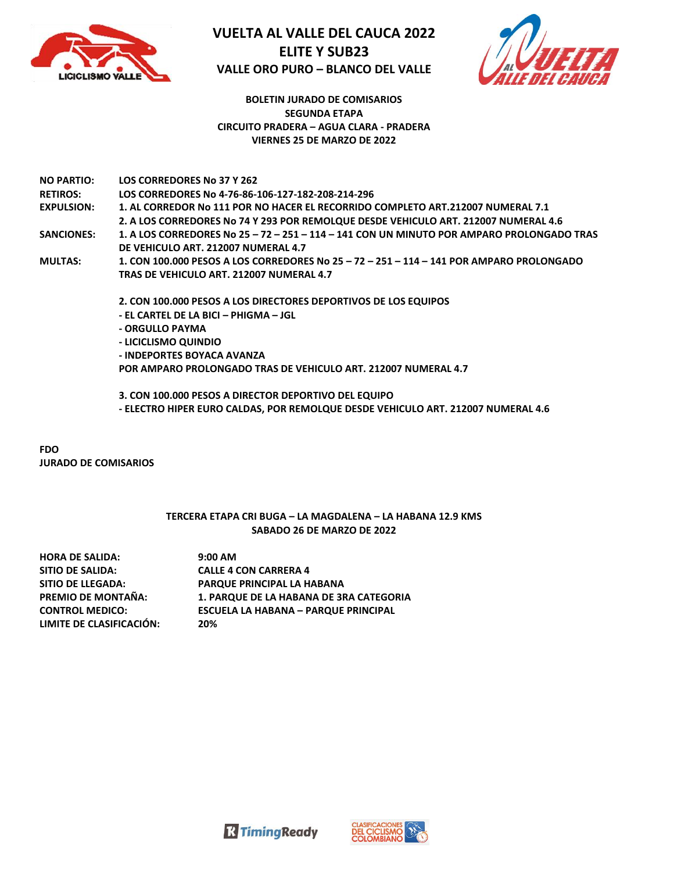



### **BOLETIN JURADO DE COMISARIOS SEGUNDA ETAPA CIRCUITO PRADERA – AGUA CLARA - PRADERA VIERNES 25 DE MARZO DE 2022**

| <b>NO PARTIO:</b> | LOS CORREDORES No 37 Y 262                                                                |
|-------------------|-------------------------------------------------------------------------------------------|
| <b>RETIROS:</b>   | LOS CORREDORES No 4-76-86-106-127-182-208-214-296                                         |
| <b>EXPULSION:</b> | 1. AL CORREDOR No 111 POR NO HACER EL RECORRIDO COMPLETO ART.212007 NUMERAL 7.1           |
|                   | 2. A LOS CORREDORES No 74 Y 293 POR REMOLQUE DESDE VEHICULO ART. 212007 NUMERAL 4.6       |
| <b>SANCIONES:</b> | 1. A LOS CORREDORES No 25 - 72 - 251 - 114 - 141 CON UN MINUTO POR AMPARO PROLONGADO TRAS |
|                   | DE VEHICULO ART. 212007 NUMERAL 4.7                                                       |
| <b>MULTAS:</b>    | 1. CON 100.000 PESOS A LOS CORREDORES No 25 - 72 - 251 - 114 - 141 POR AMPARO PROLONGADO  |
|                   | TRAS DE VEHICULO ART. 212007 NUMERAL 4.7                                                  |
|                   | 2. CON 100.000 PESOS A LOS DIRECTORES DEPORTIVOS DE LOS EQUIPOS                           |
|                   | - EL CARTEL DE LA BICI – PHIGMA – IGL                                                     |
|                   | - ORGULLO PAYMA                                                                           |
|                   | - LICICLISMO QUINDIO                                                                      |

**- INDEPORTES BOYACA AVANZA POR AMPARO PROLONGADO TRAS DE VEHICULO ART. 212007 NUMERAL 4.7**

**3. CON 100.000 PESOS A DIRECTOR DEPORTIVO DEL EQUIPO - ELECTRO HIPER EURO CALDAS, POR REMOLQUE DESDE VEHICULO ART. 212007 NUMERAL 4.6**

**FDO JURADO DE COMISARIOS**

### **TERCERA ETAPA CRI BUGA – LA MAGDALENA – LA HABANA 12.9 KMS SABADO 26 DE MARZO DE 2022**

| <b>HORA DE SALIDA:</b>   | $9:00$ AM                                      |
|--------------------------|------------------------------------------------|
| SITIO DE SALIDA:         | <b>CALLE 4 CON CARRERA 4</b>                   |
| <b>SITIO DE LLEGADA:</b> | PARQUE PRINCIPAL LA HABANA                     |
| PREMIO DE MONTAÑA:       | <b>1. PARQUE DE LA HABANA DE 3RA CATEGORIA</b> |
| <b>CONTROL MEDICO:</b>   | <b>ESCUELA LA HABANA - PARQUE PRINCIPAL</b>    |
| LIMITE DE CLASIFICACIÓN: | 20%                                            |



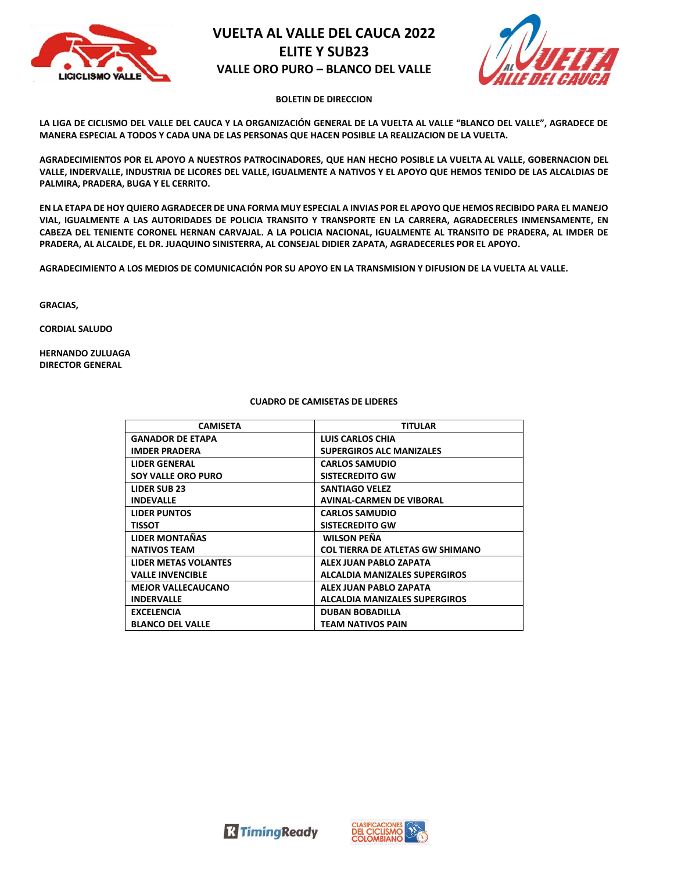



### **BOLETIN DE DIRECCION**

**LA LIGA DE CICLISMO DEL VALLE DEL CAUCA Y LA ORGANIZACIÓN GENERAL DE LA VUELTA AL VALLE "BLANCO DEL VALLE", AGRADECE DE MANERA ESPECIAL A TODOS Y CADA UNA DE LAS PERSONAS QUE HACEN POSIBLE LA REALIZACION DE LA VUELTA.**

**AGRADECIMIENTOS POR EL APOYO A NUESTROS PATROCINADORES, QUE HAN HECHO POSIBLE LA VUELTA AL VALLE, GOBERNACION DEL VALLE, INDERVALLE, INDUSTRIA DE LICORES DEL VALLE, IGUALMENTE A NATIVOS Y EL APOYO QUE HEMOS TENIDO DE LAS ALCALDIAS DE PALMIRA, PRADERA, BUGA Y EL CERRITO.**

**EN LA ETAPA DE HOY QUIERO AGRADECER DE UNA FORMA MUY ESPECIAL A INVIAS POR EL APOYO QUE HEMOS RECIBIDO PARA EL MANEJO VIAL, IGUALMENTE A LAS AUTORIDADES DE POLICIA TRANSITO Y TRANSPORTE EN LA CARRERA, AGRADECERLES INMENSAMENTE, EN CABEZA DEL TENIENTE CORONEL HERNAN CARVAJAL. A LA POLICIA NACIONAL, IGUALMENTE AL TRANSITO DE PRADERA, AL IMDER DE PRADERA, AL ALCALDE, EL DR. JUAQUINO SINISTERRA, AL CONSEJAL DIDIER ZAPATA, AGRADECERLES POR EL APOYO.**

**AGRADECIMIENTO A LOS MEDIOS DE COMUNICACIÓN POR SU APOYO EN LA TRANSMISION Y DIFUSION DE LA VUELTA AL VALLE.**

**GRACIAS,** 

**CORDIAL SALUDO**

**HERNANDO ZULUAGA DIRECTOR GENERAL**

### **CUADRO DE CAMISETAS DE LIDERES**

| <b>CAMISETA</b>             | TITULAR                                 |
|-----------------------------|-----------------------------------------|
| <b>GANADOR DE ETAPA</b>     | <b>LUIS CARLOS CHIA</b>                 |
| <b>IMDER PRADERA</b>        | <b>SUPERGIROS ALC MANIZALES</b>         |
| <b>LIDER GENERAL</b>        | <b>CARLOS SAMUDIO</b>                   |
| <b>SOY VALLE ORO PURO</b>   | <b>SISTECREDITO GW</b>                  |
| <b>LIDER SUB 23</b>         | <b>SANTIAGO VELEZ</b>                   |
| <b>INDEVALLE</b>            | <b>AVINAL-CARMEN DE VIBORAL</b>         |
| <b>LIDER PUNTOS</b>         | <b>CARLOS SAMUDIO</b>                   |
| <b>TISSOT</b>               | <b>SISTECREDITO GW</b>                  |
| <b>LIDER MONTAÑAS</b>       | <b>WILSON PEÑA</b>                      |
| <b>NATIVOS TEAM</b>         | <b>COL TIERRA DE ATLETAS GW SHIMANO</b> |
| <b>LIDER METAS VOLANTES</b> | ALEX JUAN PABLO ZAPATA                  |
| <b>VALLE INVENCIBLE</b>     | <b>ALCALDIA MANIZALES SUPERGIROS</b>    |
| <b>MEJOR VALLECAUCANO</b>   | ALEX JUAN PABLO ZAPATA                  |
| <b>INDERVALLE</b>           | <b>ALCALDIA MANIZALES SUPERGIROS</b>    |
| <b>EXCELENCIA</b>           | <b>DUBAN BOBADILLA</b>                  |
| <b>BLANCO DEL VALLE</b>     | TEAM NATIVOS PAIN                       |



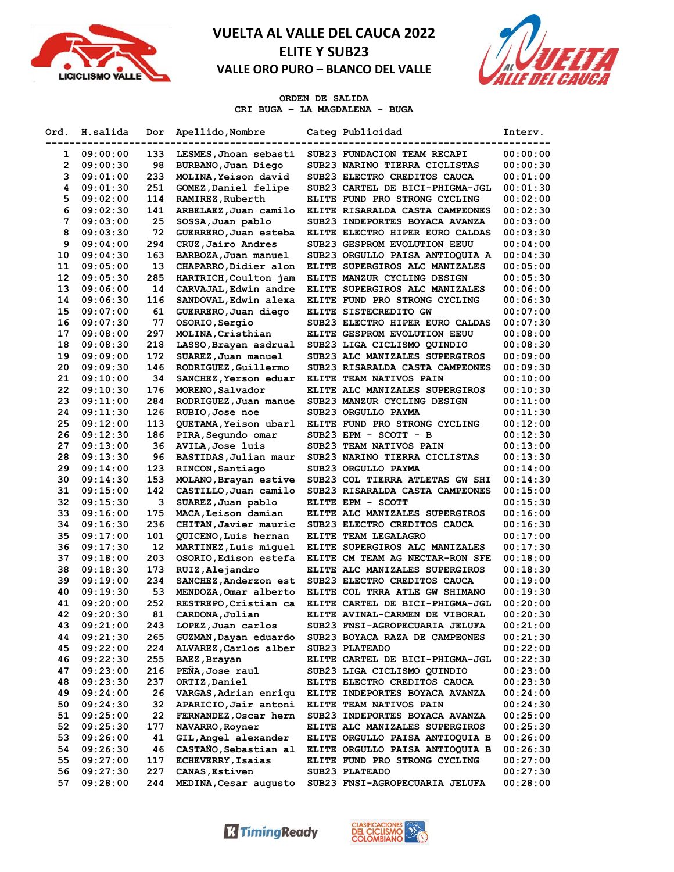



### **ORDEN DE SALIDA CRI BUGA – LA MAGDALENA - BUGA**

| Ord. | H.salida | Dor | Apellido, Nombre         | Categ Publicidad                | Interv.  |
|------|----------|-----|--------------------------|---------------------------------|----------|
| 1    | 09:00:00 | 133 | LESMES, Jhoan sebasti    | SUB23 FUNDACION TEAM RECAPI     | 00:00:00 |
| 2    | 09:00:30 | 98  | BURBANO, Juan Diego      | SUB23 NARINO TIERRA CICLISTAS   | 00:00:30 |
| 3    | 09:01:00 | 233 | MOLINA, Yeison david     | SUB23 ELECTRO CREDITOS CAUCA    | 00:01:00 |
| 4    | 09:01:30 | 251 | GOMEZ, Daniel felipe     | SUB23 CARTEL DE BICI-PHIGMA-JGL | 00:01:30 |
| 5    | 09:02:00 | 114 | RAMIREZ, Ruberth         | ELITE FUND PRO STRONG CYCLING   | 00:02:00 |
| 6    | 09:02:30 | 141 | ARBELAEZ, Juan camilo    | ELITE RISARALDA CASTA CAMPEONES | 00:02:30 |
| 7    | 09:03:00 | 25  | SOSSA, Juan pablo        | SUB23 INDEPORTES BOYACA AVANZA  | 00:03:00 |
| 8    | 09:03:30 | 72  | GUERRERO, Juan esteba    | ELITE ELECTRO HIPER EURO CALDAS | 00:03:30 |
| 9    | 09:04:00 | 294 | CRUZ, Jairo Andres       | SUB23 GESPROM EVOLUTION EEUU    | 00:04:00 |
| 10   | 09:04:30 | 163 | BARBOZA, Juan manuel     | SUB23 ORGULLO PAISA ANTIOQUIA A | 00:04:30 |
| 11   | 09:05:00 | 13  | CHAPARRO, Didier alon    | ELITE SUPERGIROS ALC MANIZALES  | 00:05:00 |
| 12   | 09:05:30 | 285 | HARTRICH, Coulton jam    | ELITE MANZUR CYCLING DESIGN     | 00:05:30 |
| 13   | 09:06:00 | 14  | CARVAJAL, Edwin andre    | ELITE SUPERGIROS ALC MANIZALES  | 00:06:00 |
| 14   | 09:06:30 | 116 | SANDOVAL, Edwin alexa    | ELITE FUND PRO STRONG CYCLING   | 00:06:30 |
| 15   | 09:07:00 | 61  | GUERRERO, Juan diego     | ELITE SISTECREDITO GW           | 00:07:00 |
| 16   | 09:07:30 | 77  | OSORIO, Sergio           | SUB23 ELECTRO HIPER EURO CALDAS | 00:07:30 |
| 17   | 09:08:00 | 297 | MOLINA, Cristhian        | ELITE GESPROM EVOLUTION EEUU    | 00:08:00 |
| 18   | 09:08:30 | 218 | LASSO, Brayan asdrual    | SUB23 LIGA CICLISMO QUINDIO     | 00:08:30 |
| 19   | 09:09:00 | 172 | SUAREZ, Juan manuel      | SUB23 ALC MANIZALES SUPERGIROS  | 00:09:00 |
| 20   | 09:09:30 | 146 | RODRIGUEZ, Guillermo     | SUB23 RISARALDA CASTA CAMPEONES | 00:09:30 |
| 21   | 09:10:00 | 34  | SANCHEZ, Yerson eduar    | ELITE TEAM NATIVOS PAIN         | 00:10:00 |
| 22   | 09:10:30 | 176 | MORENO, Salvador         | ELITE ALC MANIZALES SUPERGIROS  | 00:10:30 |
| 23   | 09:11:00 | 284 | RODRIGUEZ, Juan manue    | SUB23 MANZUR CYCLING DESIGN     | 00:11:00 |
| 24   | 09:11:30 | 126 | RUBIO, Jose noe          | SUB23 ORGULLO PAYMA             | 00:11:30 |
| 25   | 09:12:00 | 113 | QUETAMA, Yeison ubarl    | ELITE FUND PRO STRONG CYCLING   | 00:12:00 |
| 26   | 09:12:30 | 186 | PIRA, Segundo omar       | SUB23 EPM - SCOTT - B           | 00:12:30 |
| 27   | 09:13:00 | 36  | <b>AVILA, Jose luis</b>  | SUB23 TEAM NATIVOS PAIN         | 00:13:00 |
| 28   | 09:13:30 | 96  | BASTIDAS, Julian maur    | SUB23 NARINO TIERRA CICLISTAS   | 00:13:30 |
| 29   | 09:14:00 | 123 | RINCON, Santiago         | SUB23 ORGULLO PAYMA             | 00:14:00 |
| 30   | 09:14:30 | 153 | MOLANO, Brayan estive    | SUB23 COL TIERRA ATLETAS GW SHI | 00:14:30 |
| 31   | 09:15:00 | 142 | CASTILLO, Juan camilo    | SUB23 RISARALDA CASTA CAMPEONES | 00:15:00 |
| 32   | 09:15:30 | 3   | SUAREZ, Juan pablo       | ELITE EPM - SCOTT               | 00:15:30 |
| 33   | 09:16:00 | 175 | MACA, Leison damian      | ELITE ALC MANIZALES SUPERGIROS  | 00:16:00 |
| 34   | 09:16:30 | 236 | CHITAN, Javier mauric    | SUB23 ELECTRO CREDITOS CAUCA    | 00:16:30 |
| 35   | 09:17:00 | 101 | QUICENO, Luis hernan     | ELITE TEAM LEGALAGRO            | 00:17:00 |
| 36   | 09:17:30 | 12  | MARTINEZ, Luis miquel    | ELITE SUPERGIROS ALC MANIZALES  | 00:17:30 |
| 37   | 09:18:00 | 203 | OSORIO, Edison estefa    | ELITE CM TEAM AG NECTAR-RON SFE | 00:18:00 |
| 38   | 09:18:30 | 173 | RUIZ, Alejandro          | ELITE ALC MANIZALES SUPERGIROS  | 00:18:30 |
| 39   | 09:19:00 | 234 | SANCHEZ, Anderzon est    | SUB23 ELECTRO CREDITOS CAUCA    | 00:19:00 |
| 40   | 09:19:30 | 53  | MENDOZA, Omar alberto    | ELITE COL TRRA ATLE GW SHIMANO  | 00:19:30 |
| 41   | 09:20:00 | 252 | RESTREPO, Cristian ca    | ELITE CARTEL DE BICI-PHIGMA-JGL | 00:20:00 |
| 42   | 09:20:30 | 81  | CARDONA, Julian          | ELITE AVINAL-CARMEN DE VIBORAL  | 00:20:30 |
| 43   | 09:21:00 | 243 | LOPEZ, Juan carlos       | SUB23 FNSI-AGROPECUARIA JELUFA  | 00:21:00 |
| 44   | 09:21:30 | 265 | GUZMAN, Dayan eduardo    | SUB23 BOYACA RAZA DE CAMPEONES  | 00:21:30 |
| 45   | 09:22:00 | 224 | ALVAREZ, Carlos alber    | SUB23 PLATEADO                  | 00:22:00 |
| 46   | 09:22:30 | 255 | BAEZ, Brayan             | ELITE CARTEL DE BICI-PHIGMA-JGL | 00:22:30 |
| 47   | 09:23:00 | 216 | PEÑA, Jose raul          | SUB23 LIGA CICLISMO QUINDIO     | 00:23:00 |
| 48   | 09:23:30 | 237 | ORTIZ, Daniel            | ELITE ELECTRO CREDITOS CAUCA    | 00:23:30 |
| 49   | 09:24:00 | 26  | VARGAS, Adrian enriqu    | ELITE INDEPORTES BOYACA AVANZA  | 00:24:00 |
| 50   | 09:24:30 | 32  | APARICIO, Jair antoni    | ELITE TEAM NATIVOS PAIN         | 00:24:30 |
| 51   | 09:25:00 | 22  | FERNANDEZ, Oscar hern    | SUB23 INDEPORTES BOYACA AVANZA  | 00:25:00 |
| 52   | 09:25:30 | 177 | NAVARRO, Royner          | ELITE ALC MANIZALES SUPERGIROS  | 00:25:30 |
| 53   | 09:26:00 | 41  | GIL, Angel alexander     | ELITE ORGULLO PAISA ANTIOQUIA B | 00:26:00 |
| 54   | 09:26:30 | 46  | CASTAÑO, Sebastian al    | ELITE ORGULLO PAISA ANTIOQUIA B | 00:26:30 |
| 55   | 09:27:00 | 117 | <b>ECHEVERRY, Isaias</b> | ELITE FUND PRO STRONG CYCLING   | 00:27:00 |
| 56   | 09:27:30 | 227 | CANAS, Estiven           | SUB23 PLATEADO                  | 00:27:30 |
| 57   | 09:28:00 | 244 | MEDINA, Cesar augusto    | SUB23 FNSI-AGROPECUARIA JELUFA  | 00:28:00 |



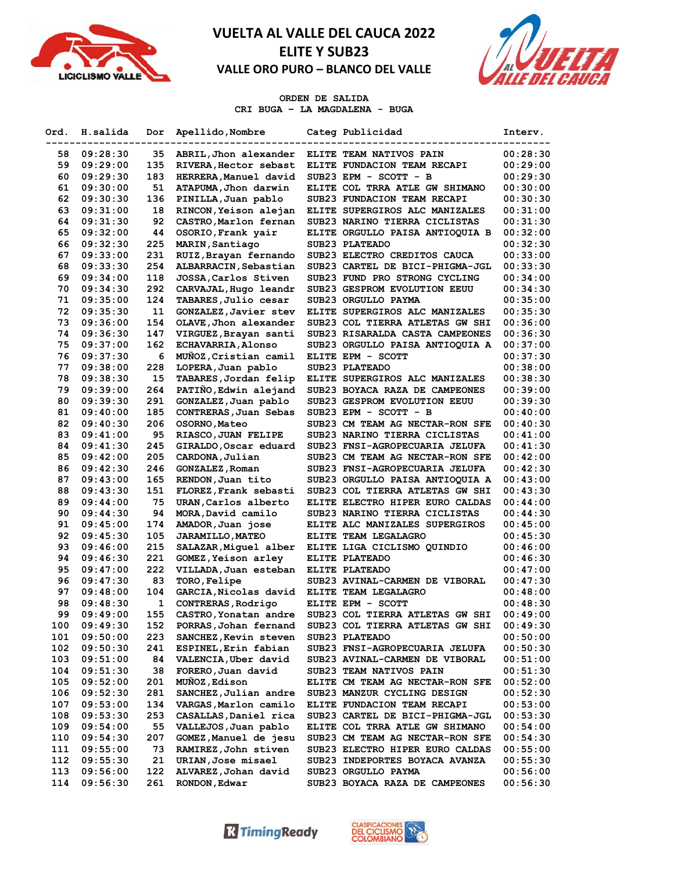



### **ORDEN DE SALIDA CRI BUGA – LA MAGDALENA - BUGA**

| Ord. | H.salida | Dor | Apellido, Nombre          | Categ Publicidad                | Interv.  |
|------|----------|-----|---------------------------|---------------------------------|----------|
| 58   | 09:28:30 | 35  | ABRIL, Jhon alexander     | ELITE TEAM NATIVOS PAIN         | 00:28:30 |
| 59   | 09:29:00 | 135 | RIVERA, Hector sebast     | ELITE FUNDACION TEAM RECAPI     | 00:29:00 |
| 60   | 09:29:30 | 183 | HERRERA, Manuel david     | SUB23 EPM - SCOTT - B           | 00:29:30 |
| 61   | 09:30:00 | 51  | ATAPUMA, Jhon darwin      | ELITE COL TRRA ATLE GW SHIMANO  | 00:30:00 |
| 62   | 09:30:30 | 136 | PINILLA, Juan pablo       | SUB23 FUNDACION TEAM RECAPI     | 00:30:30 |
| 63   | 09:31:00 | 18  | RINCON, Yeison alejan     | ELITE SUPERGIROS ALC MANIZALES  | 00:31:00 |
| 64   | 09:31:30 | 92  | CASTRO, Marlon fernan     | SUB23 NARINO TIERRA CICLISTAS   | 00:31:30 |
| 65   | 09:32:00 | 44  | OSORIO, Frank yair        | ELITE ORGULLO PAISA ANTIOQUIA B | 00:32:00 |
| 66   | 09:32:30 | 225 | MARIN, Santiago           | SUB23 PLATEADO                  | 00:32:30 |
| 67   | 09:33:00 | 231 | RUIZ, Brayan fernando     | SUB23 ELECTRO CREDITOS CAUCA    | 00:33:00 |
|      |          | 254 |                           | SUB23 CARTEL DE BICI-PHIGMA-JGL |          |
| 68   | 09:33:30 | 118 | ALBARRACIN, Sebastian     | SUB23 FUND PRO STRONG CYCLING   | 00:33:30 |
| 69   | 09:34:00 |     | JOSSA, Carlos Stiven      |                                 | 00:34:00 |
| 70   | 09:34:30 | 292 | CARVAJAL, Hugo leandr     | SUB23 GESPROM EVOLUTION EEUU    | 00:34:30 |
| 71   | 09:35:00 | 124 | TABARES, Julio cesar      | SUB23 ORGULLO PAYMA             | 00:35:00 |
| 72   | 09:35:30 | 11  | GONZALEZ, Javier stev     | ELITE SUPERGIROS ALC MANIZALES  | 00:35:30 |
| 73   | 09:36:00 | 154 | OLAVE, Jhon alexander     | SUB23 COL TIERRA ATLETAS GW SHI | 00:36:00 |
| 74   | 09:36:30 | 147 | VIRGUEZ, Brayan santi     | SUB23 RISARALDA CASTA CAMPEONES | 00:36:30 |
| 75   | 09:37:00 | 162 | <b>ECHAVARRIA, Alonso</b> | SUB23 ORGULLO PAISA ANTIOQUIA A | 00:37:00 |
| 76   | 09:37:30 | 6   | MUÑOZ, Cristian camil     | ELITE EPM - SCOTT               | 00:37:30 |
| 77   | 09:38:00 | 228 | LOPERA, Juan pablo        | SUB23 PLATEADO                  | 00:38:00 |
| 78   | 09:38:30 | 15  | TABARES, Jordan felip     | ELITE SUPERGIROS ALC MANIZALES  | 00:38:30 |
| 79   | 09:39:00 | 264 | PATIÑO, Edwin alejand     | SUB23 BOYACA RAZA DE CAMPEONES  | 00:39:00 |
| 80   | 09:39:30 | 291 | GONZALEZ, Juan pablo      | SUB23 GESPROM EVOLUTION EEUU    | 00:39:30 |
| 81   | 09:40:00 | 185 | CONTRERAS, Juan Sebas     | SUB23 EPM - SCOTT - B           | 00:40:00 |
| 82   | 09:40:30 | 206 | OSORNO, Mateo             | SUB23 CM TEAM AG NECTAR-RON SFE | 00:40:30 |
| 83   | 09:41:00 | 95  | RIASCO, JUAN FELIPE       | SUB23 NARINO TIERRA CICLISTAS   | 00:41:00 |
| 84   | 09:41:30 | 245 | GIRALDO, Oscar eduard     | SUB23 FNSI-AGROPECUARIA JELUFA  | 00:41:30 |
| 85   | 09:42:00 | 205 | CARDONA, Julian           | SUB23 CM TEAM AG NECTAR-RON SFE | 00:42:00 |
| 86   | 09:42:30 | 246 | GONZALEZ, Roman           | SUB23 FNSI-AGROPECUARIA JELUFA  | 00:42:30 |
| 87   | 09:43:00 | 165 | RENDON, Juan tito         | SUB23 ORGULLO PAISA ANTIOQUIA A | 00:43:00 |
| 88   | 09:43:30 | 151 | FLOREZ, Frank sebasti     | SUB23 COL TIERRA ATLETAS GW SHI | 00:43:30 |
| 89   | 09:44:00 | 75  | URAN, Carlos alberto      | ELITE ELECTRO HIPER EURO CALDAS | 00:44:00 |
| 90   | 09:44:30 | 94  | MORA, David camilo        | SUB23 NARINO TIERRA CICLISTAS   | 00:44:30 |
| 91   | 09:45:00 | 174 | AMADOR, Juan jose         | ELITE ALC MANIZALES SUPERGIROS  | 00:45:00 |
| 92   | 09:45:30 | 105 | <b>JARAMILLO, MATEO</b>   | ELITE TEAM LEGALAGRO            | 00:45:30 |
| 93   | 09:46:00 | 215 | SALAZAR, Miquel alber     | ELITE LIGA CICLISMO QUINDIO     | 00:46:00 |
| 94   | 09:46:30 | 221 | GOMEZ, Yeison arley       | ELITE PLATEADO                  | 00:46:30 |
| 95   | 09:47:00 | 222 | VILLADA, Juan esteban     | ELITE PLATEADO                  | 00:47:00 |
| 96   | 09:47:30 | 83  | TORO, Felipe              | SUB23 AVINAL-CARMEN DE VIBORAL  | 00:47:30 |
| 97   | 09:48:00 | 104 | GARCIA, Nicolas david     | ELITE TEAM LEGALAGRO            | 00:48:00 |
| 98   | 09:48:30 | 1   | CONTRERAS, Rodrigo        | ELITE EPM - SCOTT               | 00:48:30 |
| 99   | 09:49:00 | 155 | CASTRO, Yonatan andre     | SUB23 COL TIERRA ATLETAS GW SHI | 00:49:00 |
| 100  | 09:49:30 | 152 | PORRAS, Johan fernand     | SUB23 COL TIERRA ATLETAS GW SHI | 00:49:30 |
| 101  | 09:50:00 | 223 | SANCHEZ, Kevin steven     | SUB23 PLATEADO                  | 00:50:00 |
| 102  | 09:50:30 | 241 | ESPINEL, Erin fabian      | SUB23 FNSI-AGROPECUARIA JELUFA  | 00:50:30 |
| 103  | 09:51:00 | 84  | VALENCIA, Uber david      | SUB23 AVINAL-CARMEN DE VIBORAL  | 00:51:00 |
| 104  | 09:51:30 | 38  | FORERO, Juan david        | SUB23 TEAM NATIVOS PAIN         | 00:51:30 |
| 105  | 09:52:00 | 201 | MUÑOZ, Edison             | ELITE CM TEAM AG NECTAR-RON SFE | 00:52:00 |
| 106  | 09:52:30 | 281 | SANCHEZ, Julian andre     | SUB23 MANZUR CYCLING DESIGN     | 00:52:30 |
| 107  | 09:53:00 | 134 | VARGAS, Marlon camilo     | ELITE FUNDACION TEAM RECAPI     | 00:53:00 |
| 108  | 09:53:30 | 253 | CASALLAS, Daniel rica     | SUB23 CARTEL DE BICI-PHIGMA-JGL | 00:53:30 |
| 109  | 09:54:00 | 55  | VALLEJOS, Juan pablo      | ELITE COL TRRA ATLE GW SHIMANO  | 00:54:00 |
| 110  | 09:54:30 | 207 | GOMEZ, Manuel de jesu     | SUB23 CM TEAM AG NECTAR-RON SFE | 00:54:30 |
| 111  | 09:55:00 | 73  | RAMIREZ, John stiven      | SUB23 ELECTRO HIPER EURO CALDAS | 00:55:00 |
| 112  | 09:55:30 | 21  | URIAN, Jose misael        | SUB23 INDEPORTES BOYACA AVANZA  | 00:55:30 |
| 113  | 09:56:00 | 122 | ALVAREZ, Johan david      | SUB23 ORGULLO PAYMA             | 00:56:00 |
| 114  | 09:56:30 | 261 | RONDON, Edwar             | SUB23 BOYACA RAZA DE CAMPEONES  | 00:56:30 |